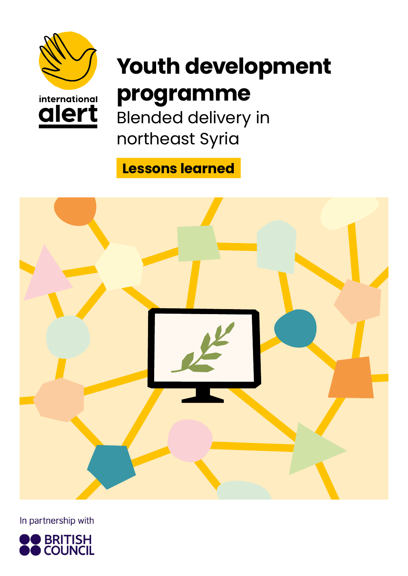

alert

# **Youth development programme**

Blended delivery in northeast Syria

**Lessons learned**



In partnership with

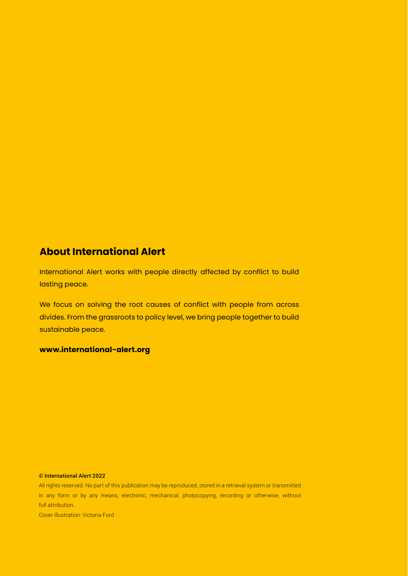### **About International Alert**

International Alert works with people directly affected by conflict to build lasting peace.

We focus on solving the root causes of conflict with people from across divides. From the grassroots to policy level, we bring people together to build sustainable peace.

#### **www.international-alert.org**

#### © International Alert 2022

All rights reserved. No part of this publication may be reproduced, stored in a retrieval system or transmitted in any form or by any means, electronic, mechanical, photocopying, recording or otherwise, without full attribution.

Cover illustration: Victoria Ford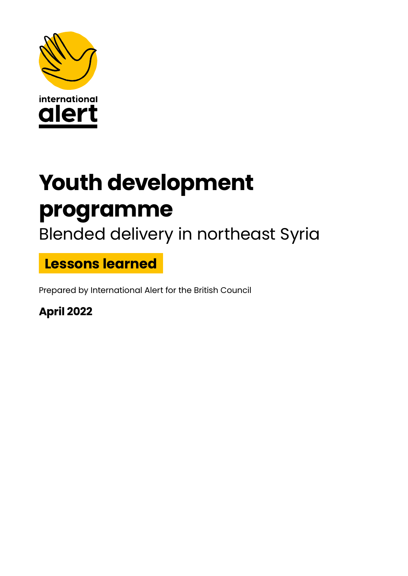

# **Youth development programme**

Blended delivery in northeast Syria

**Lessons learned**

Prepared by International Alert for the British Council

**April 2022**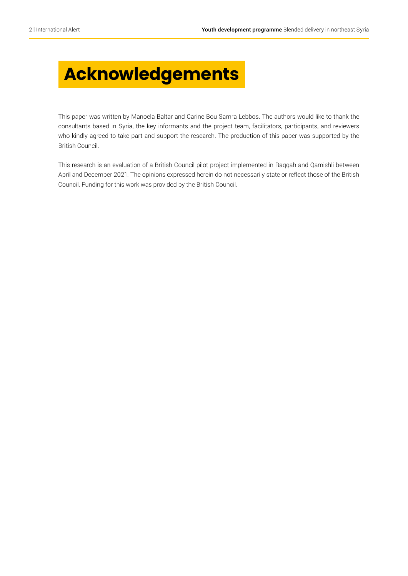## **Acknowledgements**

This paper was written by Manoela Baltar and Carine Bou Samra Lebbos. The authors would like to thank the consultants based in Syria, the key informants and the project team, facilitators, participants, and reviewers who kindly agreed to take part and support the research. The production of this paper was supported by the British Council.

This research is an evaluation of a British Council pilot project implemented in Raqqah and Qamishli between April and December 2021. The opinions expressed herein do not necessarily state or reflect those of the British Council. Funding for this work was provided by the British Council.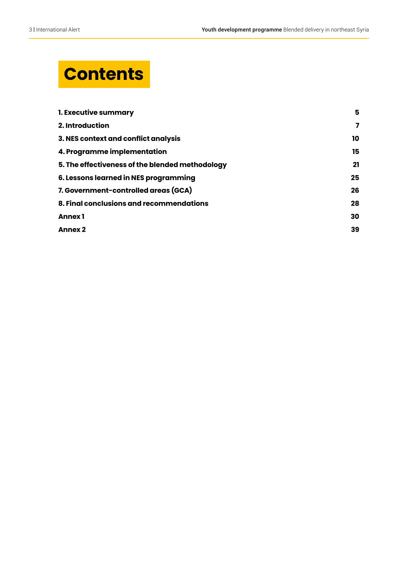## **Contents**

| 1. Executive summary                            | 5  |
|-------------------------------------------------|----|
| 2. Introduction                                 | 7  |
| 3. NES context and conflict analysis            | 10 |
| 4. Programme implementation                     | 15 |
| 5. The effectiveness of the blended methodology | 21 |
| 6. Lessons learned in NES programming           | 25 |
| 7. Government-controlled areas (GCA)            | 26 |
| 8. Final conclusions and recommendations        | 28 |
| <b>Annex1</b>                                   | 30 |
| <b>Annex 2</b>                                  | 39 |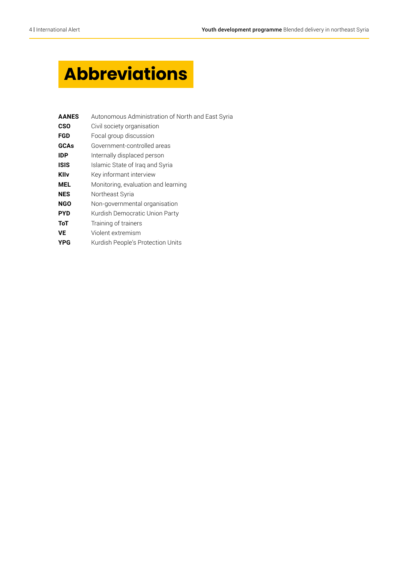## **Abbreviations**

| <b>AANES</b> | Autonomous Administration of North and East Syria |
|--------------|---------------------------------------------------|
| <b>CSO</b>   | Civil society organisation                        |
| <b>FGD</b>   | Focal group discussion                            |
| GCAs         | Government-controlled areas                       |
| <b>IDP</b>   | Internally displaced person                       |
| <b>ISIS</b>  | Islamic State of Iraq and Syria                   |
| <b>KIIv</b>  | Key informant interview                           |
| <b>MEL</b>   | Monitoring, evaluation and learning               |
| <b>NES</b>   | Northeast Syria                                   |
| <b>NGO</b>   | Non-governmental organisation                     |
| <b>PYD</b>   | Kurdish Democratic Union Party                    |
| <b>ToT</b>   | Training of trainers                              |
| VE           | Violent extremism                                 |
| <b>YPG</b>   | Kurdish People's Protection Units                 |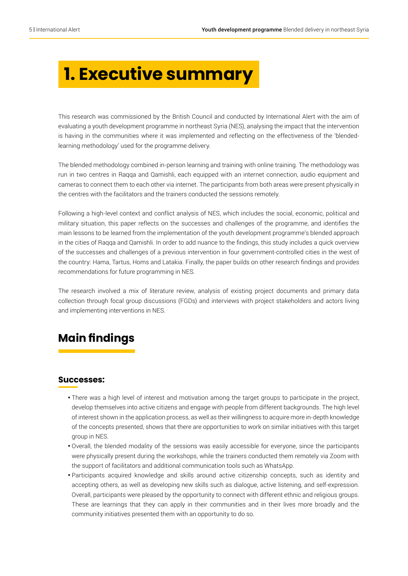## **1. Executive summary**

This research was commissioned by the British Council and conducted by International Alert with the aim of evaluating a youth development programme in northeast Syria (NES), analysing the impact that the intervention is having in the communities where it was implemented and reflecting on the effectiveness of the 'blendedlearning methodology' used for the programme delivery.

The blended methodology combined in-person learning and training with online training. The methodology was run in two centres in Raqqa and Qamishli, each equipped with an internet connection, audio equipment and cameras to connect them to each other via internet. The participants from both areas were present physically in the centres with the facilitators and the trainers conducted the sessions remotely.

Following a high-level context and conflict analysis of NES, which includes the social, economic, political and military situation, this paper reflects on the successes and challenges of the programme, and identifies the main lessons to be learned from the implementation of the youth development programme's blended approach in the cities of Raqqa and Qamishli. In order to add nuance to the findings, this study includes a quick overview of the successes and challenges of a previous intervention in four government-controlled cities in the west of the country: Hama, Tartus, Homs and Latakia. Finally, the paper builds on other research findings and provides recommendations for future programming in NES.

The research involved a mix of literature review, analysis of existing project documents and primary data collection through focal group discussions (FGDs) and interviews with project stakeholders and actors living and implementing interventions in NES.

## **Main findings**

#### **Successes:**

- There was a high level of interest and motivation among the target groups to participate in the project, develop themselves into active citizens and engage with people from different backgrounds. The high level of interest shown in the application process, as well as their willingness to acquire more in-depth knowledge of the concepts presented, shows that there are opportunities to work on similar initiatives with this target group in NES.
- Overall, the blended modality of the sessions was easily accessible for everyone, since the participants were physically present during the workshops, while the trainers conducted them remotely via Zoom with the support of facilitators and additional communication tools such as WhatsApp.
- Participants acquired knowledge and skills around active citizenship concepts, such as identity and accepting others, as well as developing new skills such as dialogue, active listening, and self-expression. Overall, participants were pleased by the opportunity to connect with different ethnic and religious groups. These are learnings that they can apply in their communities and in their lives more broadly and the community initiatives presented them with an opportunity to do so.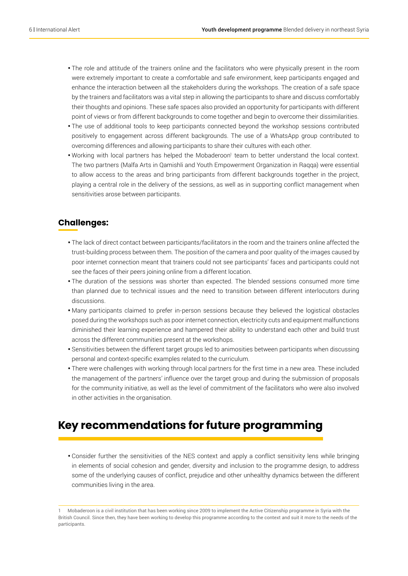- The role and attitude of the trainers online and the facilitators who were physically present in the room were extremely important to create a comfortable and safe environment, keep participants engaged and enhance the interaction between all the stakeholders during the workshops. The creation of a safe space by the trainers and facilitators was a vital step in allowing the participants to share and discuss comfortably their thoughts and opinions. These safe spaces also provided an opportunity for participants with different point of views or from different backgrounds to come together and begin to overcome their dissimilarities.
- The use of additional tools to keep participants connected beyond the workshop sessions contributed positively to engagement across different backgrounds. The use of a WhatsApp group contributed to overcoming differences and allowing participants to share their cultures with each other.
- Working with local partners has helped the Mobaderoon<sup>1</sup> team to better understand the local context. The two partners (Malfa Arts in Qamishli and Youth Empowerment Organization in Raqqa) were essential to allow access to the areas and bring participants from different backgrounds together in the project, playing a central role in the delivery of the sessions, as well as in supporting conflict management when sensitivities arose between participants.

#### **Challenges:**

- The lack of direct contact between participants/facilitators in the room and the trainers online affected the trust-building process between them. The position of the camera and poor quality of the images caused by poor internet connection meant that trainers could not see participants' faces and participants could not see the faces of their peers joining online from a different location.
- The duration of the sessions was shorter than expected. The blended sessions consumed more time than planned due to technical issues and the need to transition between different interlocutors during discussions.
- Many participants claimed to prefer in-person sessions because they believed the logistical obstacles posed during the workshops such as poor internet connection, electricity cuts and equipment malfunctions diminished their learning experience and hampered their ability to understand each other and build trust across the different communities present at the workshops.
- Sensitivities between the different target groups led to animosities between participants when discussing personal and context-specific examples related to the curriculum.
- There were challenges with working through local partners for the first time in a new area. These included the management of the partners' influence over the target group and during the submission of proposals for the community initiative, as well as the level of commitment of the facilitators who were also involved in other activities in the organisation.

## **Key recommendations for future programming**

• Consider further the sensitivities of the NES context and apply a conflict sensitivity lens while bringing in elements of social cohesion and gender, diversity and inclusion to the programme design, to address some of the underlying causes of conflict, prejudice and other unhealthy dynamics between the different communities living in the area.

<sup>1</sup> Mobaderoon is a civil institution that has been working since 2009 to implement the Active Citizenship programme in Syria with the British Council. Since then, they have been working to develop this programme according to the context and suit it more to the needs of the participants.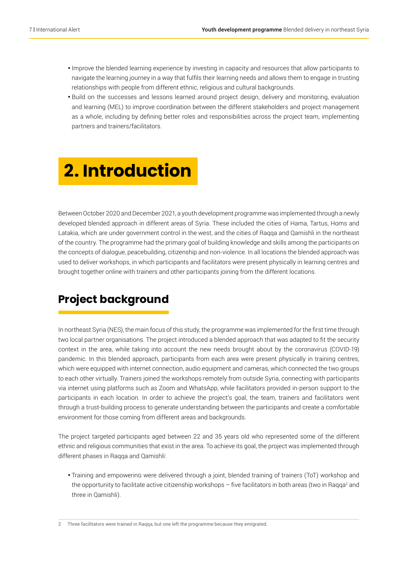- Improve the blended learning experience by investing in capacity and resources that allow participants to navigate the learning journey in a way that fulfils their learning needs and allows them to engage in trusting relationships with people from different ethnic, religious and cultural backgrounds.
- Build on the successes and lessons learned around project design, delivery and monitoring, evaluation and learning (MEL) to improve coordination between the different stakeholders and project management as a whole, including by defining better roles and responsibilities across the project team, implementing partners and trainers/facilitators.

## **2. Introduction**

Between October 2020 and December 2021, a youth development programme was implemented through a newly developed blended approach in different areas of Syria. These included the cities of Hama, Tartus, Homs and Latakia, which are under government control in the west, and the cities of Raqqa and Qamishli in the northeast of the country. The programme had the primary goal of building knowledge and skills among the participants on the concepts of dialogue, peacebuilding, citizenship and non-violence. In all locations the blended approach was used to deliver workshops, in which participants and facilitators were present physically in learning centres and brought together online with trainers and other participants joining from the different locations.

## **Project background**

In northeast Syria (NES), the main focus of this study, the programme was implemented for the first time through two local partner organisations. The project introduced a blended approach that was adapted to fit the security context in the area, while taking into account the new needs brought about by the coronavirus (COVID-19) pandemic. In this blended approach, participants from each area were present physically in training centres, which were equipped with internet connection, audio equipment and cameras, which connected the two groups to each other virtually. Trainers joined the workshops remotely from outside Syria, connecting with participants via internet using platforms such as Zoom and WhatsApp, while facilitators provided in-person support to the participants in each location. In order to achieve the project's goal, the team, trainers and facilitators went through a trust-building process to generate understanding between the participants and create a comfortable environment for those coming from different areas and backgrounds.

The project targeted participants aged between 22 and 35 years old who represented some of the different ethnic and religious communities that exist in the area. To achieve its goal, the project was implemented through different phases in Raqqa and Qamishli:

• Training and empowering were delivered through a joint, blended training of trainers (ToT) workshop and the opportunity to facilitate active citizenship workshops – five facilitators in both areas (two in Raqqa<sup>2</sup> and three in Qamishli).

2 Three facilitators were trained in Raqqa, but one left the programme because they emigrated.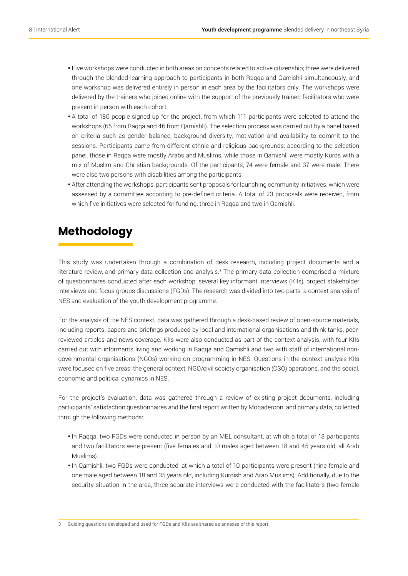- Five workshops were conducted in both areas on concepts related to active citizenship; three were delivered through the blended-learning approach to participants in both Raqqa and Qamishli simultaneously, and one workshop was delivered entirely in person in each area by the facilitators only. The workshops were delivered by the trainers who joined online with the support of the previously trained facilitators who were present in person with each cohort.
- A total of 180 people signed up for the project, from which 111 participants were selected to attend the workshops (65 from Raqqa and 46 from Qamishli). The selection process was carried out by a panel based on criteria such as gender balance, background diversity, motivation and availability to commit to the sessions. Participants came from different ethnic and religious backgrounds: according to the selection panel, those in Raqqa were mostly Arabs and Muslims, while those in Qamishli were mostly Kurds with a mix of Muslim and Christian backgrounds. Of the participants, 74 were female and 37 were male. There were also two persons with disabilities among the participants.
- After attending the workshops, participants sent proposals for launching community initiatives, which were assessed by a committee according to pre-defined criteria. A total of 23 proposals were received, from which five initiatives were selected for funding, three in Raqqa and two in Qamishli.

### **Methodology**

This study was undertaken through a combination of desk research, including project documents and a literature review, and primary data collection and analysis.<sup>3</sup> The primary data collection comprised a mixture of questionnaires conducted after each workshop, several key informant interviews (KIIs), project stakeholder interviews and focus groups discussions (FGDs). The research was divided into two parts: a context analysis of NES and evaluation of the youth development programme.

For the analysis of the NES context, data was gathered through a desk-based review of open-source materials, including reports, papers and briefings produced by local and international organisations and think tanks, peerreviewed articles and news coverage. KIIs were also conducted as part of the context analysis, with four KIIs carried out with informants living and working in Raqqa and Qamishli and two with staff of international nongovernmental organisations (NGOs) working on programming in NES. Questions in the context analysis KIIs were focused on five areas: the general context, NGO/civil society organisation (CSO) operations, and the social, economic and political dynamics in NES.

For the project's evaluation, data was gathered through a review of existing project documents, including participants' satisfaction questionnaires and the final report written by Mobaderoon, and primary data, collected through the following methods:

- In Raqqa, two FGDs were conducted in person by an MEL consultant, at which a total of 13 participants and two facilitators were present (five females and 10 males aged between 18 and 45 years old, all Arab Muslims).
- In Qamishli, two FGDs were conducted, at which a total of 10 participants were present (nine female and one male aged between 18 and 35 years old, including Kurdish and Arab Muslims). Additionally, due to the security situation in the area, three separate interviews were conducted with the facilitators (two female

3 Guiding questions developed and used for FGDs and KIIs are shared as annexes of this report.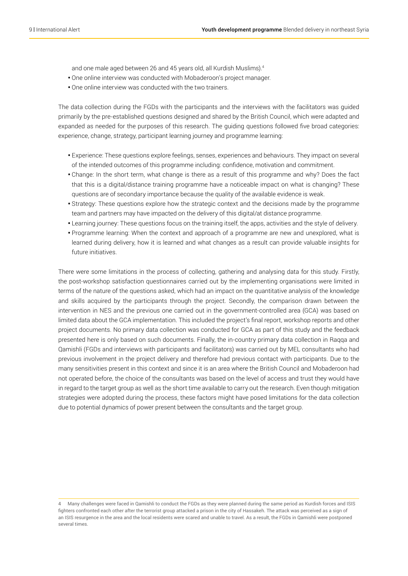and one male aged between 26 and 45 years old, all Kurdish Muslims).4

- One online interview was conducted with Mobaderoon's project manager.
- One online interview was conducted with the two trainers.

The data collection during the FGDs with the participants and the interviews with the facilitators was guided primarily by the pre-established questions designed and shared by the British Council, which were adapted and expanded as needed for the purposes of this research. The guiding questions followed five broad categories: experience, change, strategy, participant learning journey and programme learning:

- Experience: These questions explore feelings, senses, experiences and behaviours. They impact on several of the intended outcomes of this programme including: confidence, motivation and commitment.
- Change: In the short term, what change is there as a result of this programme and why? Does the fact that this is a digital/distance training programme have a noticeable impact on what is changing? These questions are of secondary importance because the quality of the available evidence is weak.
- Strategy: These questions explore how the strategic context and the decisions made by the programme team and partners may have impacted on the delivery of this digital/at distance programme.
- Learning journey: These questions focus on the training itself, the apps, activities and the style of delivery.
- Programme learning: When the context and approach of a programme are new and unexplored, what is learned during delivery, how it is learned and what changes as a result can provide valuable insights for future initiatives.

There were some limitations in the process of collecting, gathering and analysing data for this study. Firstly, the post-workshop satisfaction questionnaires carried out by the implementing organisations were limited in terms of the nature of the questions asked, which had an impact on the quantitative analysis of the knowledge and skills acquired by the participants through the project. Secondly, the comparison drawn between the intervention in NES and the previous one carried out in the government-controlled area (GCA) was based on limited data about the GCA implementation. This included the project's final report, workshop reports and other project documents. No primary data collection was conducted for GCA as part of this study and the feedback presented here is only based on such documents. Finally, the in-country primary data collection in Raqqa and Qamishli (FGDs and interviews with participants and facilitators) was carried out by MEL consultants who had previous involvement in the project delivery and therefore had previous contact with participants. Due to the many sensitivities present in this context and since it is an area where the British Council and Mobaderoon had not operated before, the choice of the consultants was based on the level of access and trust they would have in regard to the target group as well as the short time available to carry out the research. Even though mitigation strategies were adopted during the process, these factors might have posed limitations for the data collection due to potential dynamics of power present between the consultants and the target group.

<sup>4</sup> Many challenges were faced in Qamishli to conduct the FGDs as they were planned during the same period as Kurdish forces and ISIS fighters confronted each other after the terrorist group attacked a prison in the city of Hassakeh. The attack was perceived as a sign of an ISIS resurgence in the area and the local residents were scared and unable to travel. As a result, the FGDs in Qamishli were postponed several times.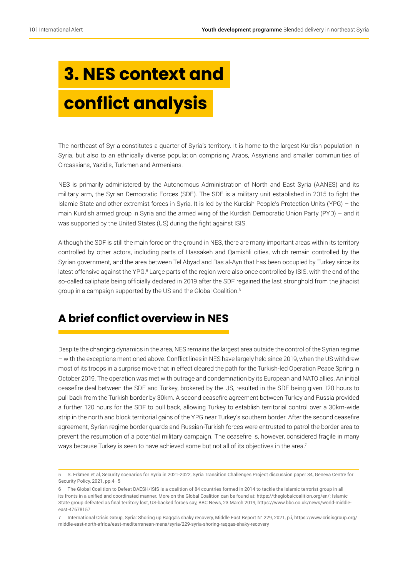# **3. NES context and conflict analysis**

The northeast of Syria constitutes a quarter of Syria's territory. It is home to the largest Kurdish population in Syria, but also to an ethnically diverse population comprising Arabs, Assyrians and smaller communities of Circassians, Yazidis, Turkmen and Armenians.

NES is primarily administered by the Autonomous Administration of North and East Syria (AANES) and its military arm, the Syrian Democratic Forces (SDF). The SDF is a military unit established in 2015 to fight the Islamic State and other extremist forces in Syria. It is led by the Kurdish People's Protection Units (YPG) – the main Kurdish armed group in Syria and the armed wing of the Kurdish Democratic Union Party (PYD) – and it was supported by the United States (US) during the fight against ISIS.

Although the SDF is still the main force on the ground in NES, there are many important areas within its territory controlled by other actors, including parts of Hassakeh and Qamishli cities, which remain controlled by the Syrian government, and the area between Tel Abyad and Ras al-Ayn that has been occupied by Turkey since its latest offensive against the YPG.<sup>5</sup> Large parts of the region were also once controlled by ISIS, with the end of the so-called caliphate being officially declared in 2019 after the SDF regained the last stronghold from the jihadist group in a campaign supported by the US and the Global Coalition.<sup>6</sup>

## **A brief conflict overview in NES**

Despite the changing dynamics in the area, NES remains the largest area outside the control of the Syrian regime – with the exceptions mentioned above. Conflict lines in NES have largely held since 2019, when the US withdrew most of its troops in a surprise move that in effect cleared the path for the Turkish-led Operation Peace Spring in October 2019. The operation was met with outrage and condemnation by its European and NATO allies. An initial ceasefire deal between the SDF and Turkey, brokered by the US, resulted in the SDF being given 120 hours to pull back from the Turkish border by 30km. A second ceasefire agreement between Turkey and Russia provided a further 120 hours for the SDF to pull back, allowing Turkey to establish territorial control over a 30km-wide strip in the north and block territorial gains of the YPG near Turkey's southern border. After the second ceasefire agreement, Syrian regime border guards and Russian-Turkish forces were entrusted to patrol the border area to prevent the resumption of a potential military campaign. The ceasefire is, however, considered fragile in many ways because Turkey is seen to have achieved some but not all of its objectives in the area.<sup>7</sup>

<sup>5</sup> S. Erkmen et al, Security scenarios for Syria in 2021-2022, Syria Transition Challenges Project discussion paper 34, Geneva Centre for Security Policy, 2021, pp.4–5

<sup>6</sup> The Global Coalition to Defeat DAESH/ISIS is a coalition of 84 countries formed in 2014 to tackle the Islamic terrorist group in all its fronts in a unified and coordinated manner. More on the Global Coalition can be found at: <https://theglobalcoalition.org/en/>; Islamic State group defeated as final territory lost, US-backed forces say, BBC News, 23 March 2019, [https://www.bbc.co.uk/news/world-middle](https://www.bbc.co.uk/news/world-middle-east-47678157)[east-47678157](https://www.bbc.co.uk/news/world-middle-east-47678157)

<sup>7</sup> International Crisis Group, Syria: Shoring up Raqqa's shaky recovery, Middle East Report N° 229, 2021, p.i, [https://www.crisisgroup.org/](https://www.crisisgroup.org/middle-east-north-africa/east-mediterranean-mena/syria/229-syria-shoring-raqqas-shaky-recovery) [middle-east-north-africa/east-mediterranean-mena/syria/229-syria-shoring-raqqas-shaky-recovery](https://www.crisisgroup.org/middle-east-north-africa/east-mediterranean-mena/syria/229-syria-shoring-raqqas-shaky-recovery)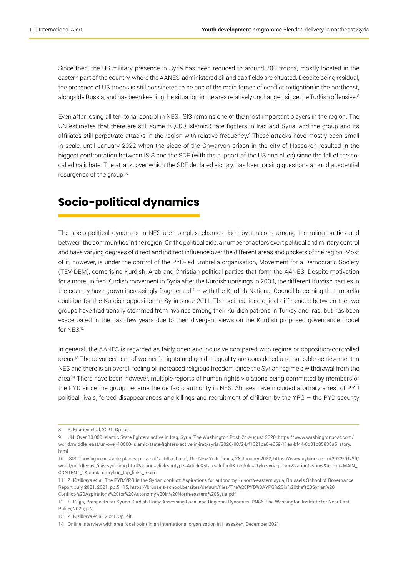Since then, the US military presence in Syria has been reduced to around 700 troops, mostly located in the eastern part of the country, where the AANES-administered oil and gas fields are situated. Despite being residual, the presence of US troops is still considered to be one of the main forces of conflict mitigation in the northeast, alongside Russia, and has been keeping the situation in the area relatively unchanged since the Turkish offensive.<sup>8</sup>

Even after losing all territorial control in NES, ISIS remains one of the most important players in the region. The UN estimates that there are still some 10,000 Islamic State fighters in Iraq and Syria, and the group and its affiliates still perpetrate attacks in the region with relative frequency.<sup>9</sup> These attacks have mostly been small in scale, until January 2022 when the siege of the Ghwaryan prison in the city of Hassakeh resulted in the biggest confrontation between ISIS and the SDF (with the support of the US and allies) since the fall of the socalled caliphate. The attack, over which the SDF declared victory, has been raising questions around a potential resurgence of the group.10

## **Socio-political dynamics**

The socio-political dynamics in NES are complex, characterised by tensions among the ruling parties and between the communities in the region. On the political side, a number of actors exert political and military control and have varying degrees of direct and indirect influence over the different areas and pockets of the region. Most of it, however, is under the control of the PYD-led umbrella organisation, Movement for a Democratic Society (TEV-DEM), comprising Kurdish, Arab and Christian political parties that form the AANES. Despite motivation for a more unified Kurdish movement in Syria after the Kurdish uprisings in 2004, the different Kurdish parties in the country have grown increasingly fragmented<sup>11</sup> – with the Kurdish National Council becoming the umbrella coalition for the Kurdish opposition in Syria since 2011. The political-ideological differences between the two groups have traditionally stemmed from rivalries among their Kurdish patrons in Turkey and Iraq, but has been exacerbated in the past few years due to their divergent views on the Kurdish proposed governance model for NES.12

In general, the AANES is regarded as fairly open and inclusive compared with regime or opposition-controlled areas.<sup>13</sup> The advancement of women's rights and gender equality are considered a remarkable achievement in NES and there is an overall feeling of increased religious freedom since the Syrian regime's withdrawal from the area.14 There have been, however, multiple reports of human rights violations being committed by members of the PYD since the group became the de facto authority in NES. Abuses have included arbitrary arrest of PYD political rivals, forced disappearances and killings and recruitment of children by the YPG – the PYD security

<sup>8</sup> S. Erkmen et al, 2021, Op. cit.

<sup>9</sup> UN: Over 10,000 Islamic State fighters active in Iraq, Syria, The Washington Post, 24 August 2020, [https://www.washingtonpost.com/](https://www.washingtonpost.com/world/middle_east/un-over-10000-islamic-state-fighters-active-in-iraq-syria/2020/08/24/f1021ca0-e659-11ea-bf44-0d31c85838a5_story.html) [world/middle\\_east/un-over-10000-islamic-state-fighters-active-in-iraq-syria/2020/08/24/f1021ca0-e659-11ea-bf44-0d31c85838a5\\_story.](https://www.washingtonpost.com/world/middle_east/un-over-10000-islamic-state-fighters-active-in-iraq-syria/2020/08/24/f1021ca0-e659-11ea-bf44-0d31c85838a5_story.html) [html](https://www.washingtonpost.com/world/middle_east/un-over-10000-islamic-state-fighters-active-in-iraq-syria/2020/08/24/f1021ca0-e659-11ea-bf44-0d31c85838a5_story.html)

<sup>10</sup> ISIS, Thriving in unstable places, proves it's still a threat, The New York Times, 28 January 2022, [https://www.nytimes.com/2022/01/29/](https://www.nytimes.com/2022/01/29/world/middleeast/isis-syria-iraq.html?action=click&pgtype=Article&state=default&module=styln-syria-prison&variant=show®ion=MAIN_CONTENT_1&block=storyline_top_links_recirc) [world/middleeast/isis-syria-iraq.html?action=click&pgtype=Article&state=default&module=styln-syria-prison&variant=show&region=MAIN\\_](https://www.nytimes.com/2022/01/29/world/middleeast/isis-syria-iraq.html?action=click&pgtype=Article&state=default&module=styln-syria-prison&variant=show®ion=MAIN_CONTENT_1&block=storyline_top_links_recirc) [CONTENT\\_1&block=storyline\\_top\\_links\\_recirc](https://www.nytimes.com/2022/01/29/world/middleeast/isis-syria-iraq.html?action=click&pgtype=Article&state=default&module=styln-syria-prison&variant=show®ion=MAIN_CONTENT_1&block=storyline_top_links_recirc)

<sup>11</sup> Z. Kizilkaya et al, The PYD/YPG in the Syrian conflict: Aspirations for autonomy in north-eastern syria, Brussels School of Governance Report July 2021, 2021, pp.5–15, [https://brussels-school.be/sites/default/files/The%20PYD%3AYPG%20in%20the%20Syrian%20](https://brussels-school.be/sites/default/files/The PYD%3AYPG in the Syrian Conflict- Aspirations for Autonomy in North-eastern Syria.pdf) [Conflict-%20Aspirations%20for%20Autonomy%20in%20North-eastern%20Syria.pdf](https://brussels-school.be/sites/default/files/The PYD%3AYPG in the Syrian Conflict- Aspirations for Autonomy in North-eastern Syria.pdf)

<sup>12</sup> S. Kajjo, [Prospects for Syrian Kurdish Unity: Assessing Local and Regional Dynamics](https://www.washingtoninstitute.org/policy-analysis/prospects-syrian-kurdish-unity-assessing-local-and-regional-dynamics), PN86, The Washington Institute for Near East Policy, 2020, p.2

<sup>13</sup> Z. Kizilkaya et al, 2021, Op. cit.

<sup>14</sup> Online interview with area focal point in an international organisation in Hassakeh, December 2021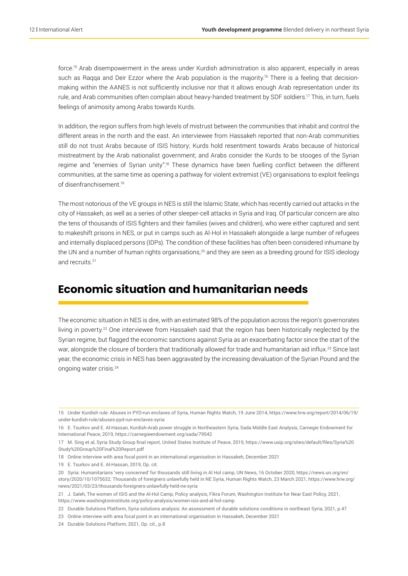force.15 Arab disempowerment in the areas under Kurdish administration is also apparent, especially in areas such as Raqqa and Deir Ezzor where the Arab population is the majority.<sup>16</sup> There is a feeling that decisionmaking within the AANES is not sufficiently inclusive nor that it allows enough Arab representation under its rule, and Arab communities often complain about heavy-handed treatment by SDF soldiers.17 This, in turn, fuels feelings of animosity among Arabs towards Kurds.

In addition, the region suffers from high levels of mistrust between the communities that inhabit and control the different areas in the north and the east. An interviewee from Hassakeh reported that non-Arab communities still do not trust Arabs because of ISIS history; Kurds hold resentment towards Arabs because of historical mistreatment by the Arab nationalist government; and Arabs consider the Kurds to be stooges of the Syrian regime and "enemies of Syrian unity".18 These dynamics have been fuelling conflict between the different communities, at the same time as opening a pathway for violent extremist (VE) organisations to exploit feelings of disenfranchisement.19

The most notorious of the VE groups in NES is still the Islamic State, which has recently carried out attacks in the city of Hassakeh, as well as a series of other sleeper-cell attacks in Syria and Iraq. Of particular concern are also the tens of thousands of ISIS fighters and their families (wives and children), who were either captured and sent to makeshift prisons in NES, or put in camps such as Al-Hol in Hassakeh alongside a large number of refugees and internally displaced persons (IDPs). The condition of these facilities has often been considered inhumane by the UN and a number of human rights organisations,<sup>20</sup> and they are seen as a breeding ground for ISIS ideology and recruits.<sup>21</sup>

### **Economic situation and humanitarian needs**

The economic situation in NES is dire, with an estimated 98% of the population across the region's governorates living in poverty.<sup>22</sup> One interviewee from Hassakeh said that the region has been historically neglected by the Syrian regime, but flagged the economic sanctions against Syria as an exacerbating factor since the start of the war, alongside the closure of borders that traditionally allowed for trade and humanitarian aid influx.<sup>23</sup> Since last year, the economic crisis in NES has been aggravated by the increasing devaluation of the Syrian Pound and the ongoing water crisis.24

19 E. Tsurkov and E. Al-Hassan, 2019, Op. cit.

<sup>15</sup> Under Kurdish rule: Abuses in PYD-run enclaves of Syria, Human Rights Watch, 19 June 2014, https://www.hrw.org/report/2014/06/19/ under-kurdish-rule/abuses-pyd-run-enclaves-syria

<sup>16</sup> E. Tsurkov and E. Al-Hassan, Kurdish-Arab power struggle in Northeastern Syria, Sada Middle East Analysis, Carnegie Endowment for International Peace, 2019, <https://carnegieendowment.org/sada/79542>

<sup>17</sup> M. Sing et al, Syria Study Group final report, United States Institute of Peace, 2019, [https://www.usip.org/sites/default/files/Syria%20](https://www.usip.org/sites/default/files/Syria Study Group Final Report.pdf) [Study%20Group%20Final%20Report.pdf](https://www.usip.org/sites/default/files/Syria Study Group Final Report.pdf)

<sup>18</sup> Online interview with area focal point in an international organisation in Hassakeh, December 2021

<sup>20</sup> Syria: Humanitarians 'very concerned' for thousands still living in Al Hol camp, UN News, 16 October 2020, [https://news.un.org/en/](https://news.un.org/en/story/2020/10/1075632) [story/2020/10/1075632](https://news.un.org/en/story/2020/10/1075632); Thousands of foreigners unlawfully held in NE Syria, Human Rights Watch, 23 March 2021, [https://www.hrw.org/](https://www.hrw.org/news/2021/03/23/thousands-foreigners-unlawfully-held-ne-syria) [news/2021/03/23/thousands-foreigners-unlawfully-held-ne-syria](https://www.hrw.org/news/2021/03/23/thousands-foreigners-unlawfully-held-ne-syria)

<sup>21</sup> J. Saleh, The women of ISIS and the Al-Hol Camp, Policy analysis, Fikra Forum, Washington Institute for Near East Policy, 2021, <https://www.washingtoninstitute.org/policy-analysis/women-isis-and-al-hol-camp>

<sup>22</sup> Durable Solutions Platform, Syria solutions analysis: An assessment of durable solutions conditions in northeast Syria, 2021, p.47

<sup>23</sup> Online interview with area focal point in an international organisation in Hassakeh, December 2021

<sup>24</sup> Durable Solutions Platform, 2021, Op. cit., p.8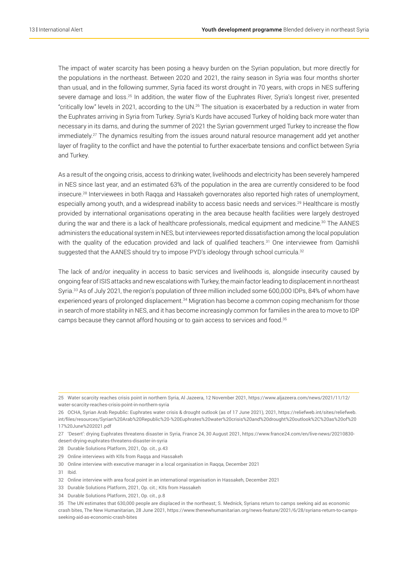The impact of water scarcity has been posing a heavy burden on the Syrian population, but more directly for the populations in the northeast. Between 2020 and 2021, the rainy season in Syria was four months shorter than usual, and in the following summer, Syria faced its worst drought in 70 years, with crops in NES suffering severe damage and loss.<sup>25</sup> In addition, the water flow of the Euphrates River, Syria's longest river, presented "critically low" levels in 2021, according to the UN.26 The situation is exacerbated by a reduction in water from the Euphrates arriving in Syria from Turkey. Syria's Kurds have accused Turkey of holding back more water than necessary in its dams, and during the summer of 2021 the Syrian government urged Turkey to increase the flow immediately.<sup>27</sup> The dynamics resulting from the issues around natural resource management add yet another layer of fragility to the conflict and have the potential to further exacerbate tensions and conflict between Syria and Turkey.

As a result of the ongoing crisis, access to drinking water, livelihoods and electricity has been severely hampered in NES since last year, and an estimated 63% of the population in the area are currently considered to be food insecure.28 Interviewees in both Raqqa and Hassakeh governorates also reported high rates of unemployment, especially among youth, and a widespread inability to access basic needs and services.<sup>29</sup> Healthcare is mostly provided by international organisations operating in the area because health facilities were largely destroyed during the war and there is a lack of healthcare professionals, medical equipment and medicine.<sup>30</sup> The AANES administers the educational system in NES, but interviewees reported dissatisfaction among the local population with the quality of the education provided and lack of qualified teachers.<sup>31</sup> One interviewee from Qamishli suggested that the AANES should try to impose PYD's ideology through school curricula.<sup>32</sup>

The lack of and/or inequality in access to basic services and livelihoods is, alongside insecurity caused by ongoing fear of ISIS attacks and new escalations with Turkey, the main factor leading to displacement in northeast Syria.<sup>33</sup> As of July 2021, the region's population of three million included some 600,000 IDPs, 84% of whom have experienced years of prolonged displacement.<sup>34</sup> Migration has become a common coping mechanism for those in search of more stability in NES, and it has become increasingly common for families in the area to move to IDP camps because they cannot afford housing or to gain access to services and food.35

- 29 Online interviews with KIls from Raqqa and Hassakeh
- 30 Online interview with executive manager in a local organisation in Raqqa, December 2021
- 31 Ibid.
- 32 Online interview with area focal point in an international organisation in Hassakeh, December 2021
- 33 Durable Solutions Platform, 2021, Op. cit.; KIIs from Hassakeh
- 34 Durable Solutions Platform, 2021, Op. cit., p.8

<sup>25</sup> Water scarcity reaches crisis point in northern Syria, Al Jazeera, 12 November 2021, [https://www.aljazeera.com/news/2021/11/12/](https://www.aljazeera.com/news/2021/11/12/water-scarcity-reaches-crisis-point-in-northern-syria) [water-scarcity-reaches-crisis-point-in-northern-syria](https://www.aljazeera.com/news/2021/11/12/water-scarcity-reaches-crisis-point-in-northern-syria)

<sup>26</sup> OCHA, Syrian Arab Republic: Euphrates water crisis & drought outlook (as of 17 June 2021), 2021, [https://reliefweb.int/sites/reliefweb.](https://reliefweb.int/sites/reliefweb.int/files/resources/Syrian Arab Republic - Euphrates water crisis and drought outlook%2C as of 17 June 2021.pdf) [int/files/resources/Syrian%20Arab%20Republic%20-%20Euphrates%20water%20crisis%20and%20drought%20outlook%2C%20as%20of%20](https://reliefweb.int/sites/reliefweb.int/files/resources/Syrian Arab Republic - Euphrates water crisis and drought outlook%2C as of 17 June 2021.pdf) [17%20June%202021.pdf](https://reliefweb.int/sites/reliefweb.int/files/resources/Syrian Arab Republic - Euphrates water crisis and drought outlook%2C as of 17 June 2021.pdf)

<sup>27</sup> 'Desert': drying Euphrates threatens disaster in Syria, France 24, 30 August 2021, [https://www.france24.com/en/live-news/20210830](https://www.france24.com/en/live-news/20210830-desert-drying-euphrates-threatens-disaster-in-syria) [desert-drying-euphrates-threatens-disaster-in-syria](https://www.france24.com/en/live-news/20210830-desert-drying-euphrates-threatens-disaster-in-syria)

<sup>28</sup> Durable Solutions Platform, 2021, Op. cit., p.43

<sup>35</sup> The UN estimates that 630,000 people are displaced in the northeast; S. Mednick, Syrians return to camps seeking aid as economic crash bites, The New Humanitarian, 28 June 2021, [https://www.thenewhumanitarian.org/news-feature/2021/6/28/syrians-return-to-camps](https://www.thenewhumanitarian.org/news-feature/2021/6/28/syrians-return-to-camps-seeking-aid-as-economic-crash-bites)[seeking-aid-as-economic-crash-bites](https://www.thenewhumanitarian.org/news-feature/2021/6/28/syrians-return-to-camps-seeking-aid-as-economic-crash-bites)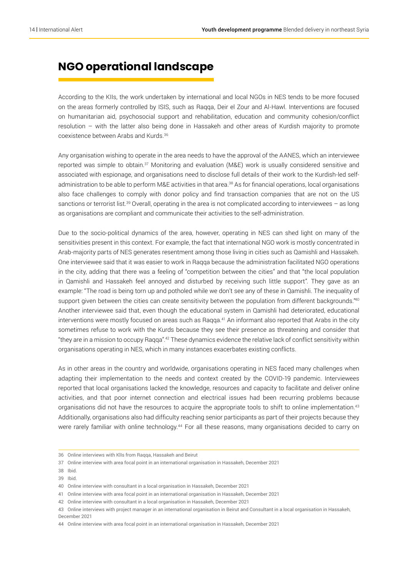### **NGO operational landscape**

According to the KIIs, the work undertaken by international and local NGOs in NES tends to be more focused on the areas formerly controlled by ISIS, such as Raqqa, Deir el Zour and Al-Hawl. Interventions are focused on humanitarian aid, psychosocial support and rehabilitation, education and community cohesion/conflict resolution – with the latter also being done in Hassakeh and other areas of Kurdish majority to promote coexistence between Arabs and Kurds.36

Any organisation wishing to operate in the area needs to have the approval of the AANES, which an interviewee reported was simple to obtain.37 Monitoring and evaluation (M&E) work is usually considered sensitive and associated with espionage, and organisations need to disclose full details of their work to the Kurdish-led selfadministration to be able to perform M&E activities in that area.<sup>38</sup> As for financial operations, local organisations also face challenges to comply with donor policy and find transaction companies that are not on the US sanctions or terrorist list.<sup>39</sup> Overall, operating in the area is not complicated according to interviewees – as long as organisations are compliant and communicate their activities to the self-administration.

Due to the socio-political dynamics of the area, however, operating in NES can shed light on many of the sensitivities present in this context. For example, the fact that international NGO work is mostly concentrated in Arab-majority parts of NES generates resentment among those living in cities such as Qamishli and Hassakeh. One interviewee said that it was easier to work in Raqqa because the administration facilitated NGO operations in the city, adding that there was a feeling of "competition between the cities" and that "the local population in Qamishli and Hassakeh feel annoyed and disturbed by receiving such little support". They gave as an example: "The road is being torn up and potholed while we don't see any of these in Qamishli. The inequality of support given between the cities can create sensitivity between the population from different backgrounds."40 Another interviewee said that, even though the educational system in Qamishli had deteriorated, educational interventions were mostly focused on areas such as Raqqa.<sup>41</sup> An informant also reported that Arabs in the city sometimes refuse to work with the Kurds because they see their presence as threatening and consider that "they are in a mission to occupy Raqqa".42 These dynamics evidence the relative lack of conflict sensitivity within organisations operating in NES, which in many instances exacerbates existing conflicts.

As in other areas in the country and worldwide, organisations operating in NES faced many challenges when adapting their implementation to the needs and context created by the COVID-19 pandemic. Interviewees reported that local organisations lacked the knowledge, resources and capacity to facilitate and deliver online activities, and that poor internet connection and electrical issues had been recurring problems because organisations did not have the resources to acquire the appropriate tools to shift to online implementation.<sup>43</sup> Additionally, organisations also had difficulty reaching senior participants as part of their projects because they were rarely familiar with online technology.<sup>44</sup> For all these reasons, many organisations decided to carry on

39 Ibid.

<sup>36</sup> Online interviews with KlIs from Raqqa, Hassakeh and Beirut

<sup>37</sup> Online interview with area focal point in an international organisation in Hassakeh, December 2021

<sup>38</sup> Ibid.

<sup>40</sup> Online interview with consultant in a local organisation in Hassakeh, December 2021

<sup>41</sup> Online interview with area focal point in an international organisation in Hassakeh, December 2021

<sup>42</sup> Online interview with consultant in a local organisation in Hassakeh, December 2021

<sup>43</sup> Online interviews with project manager in an international organisation in Beirut and Consultant in a local organisation in Hassakeh, December 2021

<sup>44</sup> Online interview with area focal point in an international organisation in Hassakeh, December 2021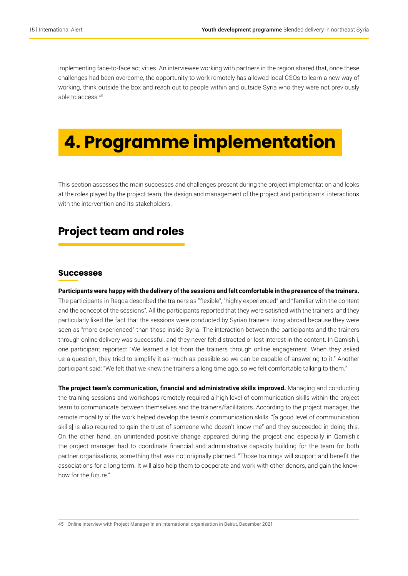implementing face-to-face activities. An interviewee working with partners in the region shared that, once these challenges had been overcome, the opportunity to work remotely has allowed local CSOs to learn a new way of working, think outside the box and reach out to people within and outside Syria who they were not previously able to access.45

## **4. Programme implementation**

This section assesses the main successes and challenges present during the project implementation and looks at the roles played by the project team, the design and management of the project and participants' interactions with the intervention and its stakeholders.

### **Project team and roles**

#### **Successes**

**Participants were happy with the delivery of the sessions and felt comfortable in the presence of the trainers.**  The participants in Raqqa described the trainers as "flexible", "highly experienced" and "familiar with the content and the concept of the sessions". All the participants reported that they were satisfied with the trainers, and they particularly liked the fact that the sessions were conducted by Syrian trainers living abroad because they were seen as "more experienced" than those inside Syria. The interaction between the participants and the trainers through online delivery was successful, and they never felt distracted or lost interest in the content. In Qamishli, one participant reported: "We learned a lot from the trainers through online engagement. When they asked us a question, they tried to simplify it as much as possible so we can be capable of answering to it." Another participant said: "We felt that we knew the trainers a long time ago, so we felt comfortable talking to them."

**The project team's communication, financial and administrative skills improved.** Managing and conducting the training sessions and workshops remotely required a high level of communication skills within the project team to communicate between themselves and the trainers/facilitators. According to the project manager, the remote modality of the work helped develop the team's communication skills: "[a good level of communication skills] is also required to gain the trust of someone who doesn't know me" and they succeeded in doing this. On the other hand, an unintended positive change appeared during the project and especially in Qamishli: the project manager had to coordinate financial and administrative capacity building for the team for both partner organisations, something that was not originally planned. "Those trainings will support and benefit the associations for a long term. It will also help them to cooperate and work with other donors, and gain the knowhow for the future."

45 Online interview with Project Manager in an international organisation in Beirut, December 2021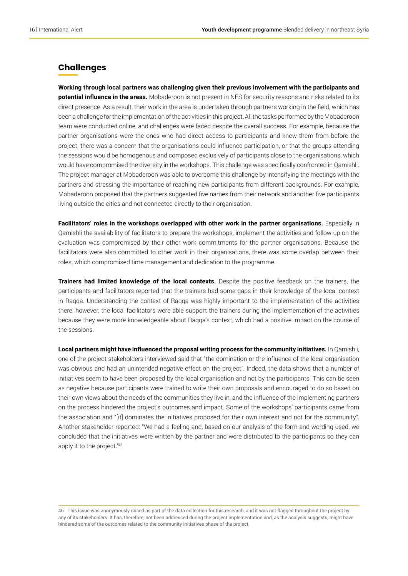#### **Challenges**

**Working through local partners was challenging given their previous involvement with the participants and potential influence in the areas.** Mobaderoon is not present in NES for security reasons and risks related to its direct presence. As a result, their work in the area is undertaken through partners working in the field, which has been a challenge for the implementation of the activities in this project. All the tasks performed by the Mobaderoon team were conducted online, and challenges were faced despite the overall success. For example, because the partner organisations were the ones who had direct access to participants and knew them from before the project, there was a concern that the organisations could influence participation, or that the groups attending the sessions would be homogenous and composed exclusively of participants close to the organisations, which would have compromised the diversity in the workshops. This challenge was specifically confronted in Qamishli. The project manager at Mobaderoon was able to overcome this challenge by intensifying the meetings with the partners and stressing the importance of reaching new participants from different backgrounds. For example, Mobaderoon proposed that the partners suggested five names from their network and another five participants living outside the cities and not connected directly to their organisation.

Facilitators' roles in the workshops overlapped with other work in the partner organisations. Especially in Qamishli the availability of facilitators to prepare the workshops, implement the activities and follow up on the evaluation was compromised by their other work commitments for the partner organisations. Because the facilitators were also committed to other work in their organisations, there was some overlap between their roles, which compromised time management and dedication to the programme.

**Trainers had limited knowledge of the local contexts.** Despite the positive feedback on the trainers, the participants and facilitators reported that the trainers had some gaps in their knowledge of the local context in Raqqa. Understanding the context of Raqqa was highly important to the implementation of the activities there; however, the local facilitators were able support the trainers during the implementation of the activities because they were more knowledgeable about Raqqa's context, which had a positive impact on the course of the sessions.

**Local partners might have influenced the proposal writing process for the community initiatives.** In Qamishli, one of the project stakeholders interviewed said that "the domination or the influence of the local organisation was obvious and had an unintended negative effect on the project". Indeed, the data shows that a number of initiatives seem to have been proposed by the local organisation and not by the participants. This can be seen as negative because participants were trained to write their own proposals and encouraged to do so based on their own views about the needs of the communities they live in, and the influence of the implementing partners on the process hindered the project's outcomes and impact. Some of the workshops' participants came from the association and "[it] dominates the initiatives proposed for their own interest and not for the community". Another stakeholder reported: "We had a feeling and, based on our analysis of the form and wording used, we concluded that the initiatives were written by the partner and were distributed to the participants so they can apply it to the project."46

46 This issue was anonymously raised as part of the data collection for this research, and it was not flagged throughout the project by any of its stakeholders. It has, therefore, not been addressed during the project implementation and, as the analysis suggests, might have hindered some of the outcomes related to the community initiatives phase of the project.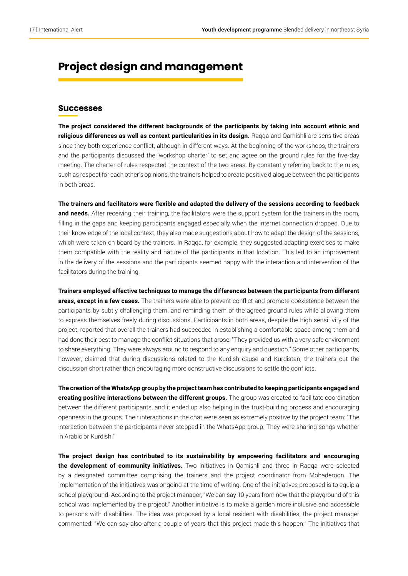### **Project design and management**

#### **Successes**

**The project considered the different backgrounds of the participants by taking into account ethnic and religious differences as well as context particularities in its design.** Raqqa and Qamishli are sensitive areas since they both experience conflict, although in different ways. At the beginning of the workshops, the trainers and the participants discussed the 'workshop charter' to set and agree on the ground rules for the five-day meeting. The charter of rules respected the context of the two areas. By constantly referring back to the rules, such as respect for each other's opinions, the trainers helped to create positive dialogue between the participants in both areas.

**The trainers and facilitators were flexible and adapted the delivery of the sessions according to feedback and needs.** After receiving their training, the facilitators were the support system for the trainers in the room, filling in the gaps and keeping participants engaged especially when the internet connection dropped. Due to their knowledge of the local context, they also made suggestions about how to adapt the design of the sessions, which were taken on board by the trainers. In Raqqa, for example, they suggested adapting exercises to make them compatible with the reality and nature of the participants in that location. This led to an improvement in the delivery of the sessions and the participants seemed happy with the interaction and intervention of the facilitators during the training.

**Trainers employed effective techniques to manage the differences between the participants from different areas, except in a few cases.** The trainers were able to prevent conflict and promote coexistence between the participants by subtly challenging them, and reminding them of the agreed ground rules while allowing them to express themselves freely during discussions. Participants in both areas, despite the high sensitivity of the project, reported that overall the trainers had succeeded in establishing a comfortable space among them and had done their best to manage the conflict situations that arose: "They provided us with a very safe environment to share everything. They were always around to respond to any enquiry and question." Some other participants, however, claimed that during discussions related to the Kurdish cause and Kurdistan, the trainers cut the discussion short rather than encouraging more constructive discussions to settle the conflicts.

**The creation of the WhatsApp group by the project team has contributed to keeping participants engaged and creating positive interactions between the different groups.** The group was created to facilitate coordination between the different participants, and it ended up also helping in the trust-building process and encouraging openness in the groups. Their interactions in the chat were seen as extremely positive by the project team: "The interaction between the participants never stopped in the WhatsApp group. They were sharing songs whether in Arabic or Kurdish."

**The project design has contributed to its sustainability by empowering facilitators and encouraging the development of community initiatives.** Two initiatives in Qamishli and three in Raqqa were selected by a designated committee comprising the trainers and the project coordinator from Mobaderoon. The implementation of the initiatives was ongoing at the time of writing. One of the initiatives proposed is to equip a school playground. According to the project manager, "We can say 10 years from now that the playground of this school was implemented by the project." Another initiative is to make a garden more inclusive and accessible to persons with disabilities. The idea was proposed by a local resident with disabilities; the project manager commented: "We can say also after a couple of years that this project made this happen." The initiatives that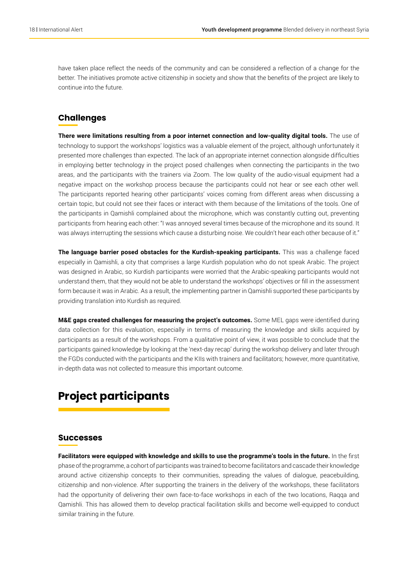have taken place reflect the needs of the community and can be considered a reflection of a change for the better. The initiatives promote active citizenship in society and show that the benefits of the project are likely to continue into the future.

#### **Challenges**

**There were limitations resulting from a poor internet connection and low-quality digital tools.** The use of technology to support the workshops' logistics was a valuable element of the project, although unfortunately it presented more challenges than expected. The lack of an appropriate internet connection alongside difficulties in employing better technology in the project posed challenges when connecting the participants in the two areas, and the participants with the trainers via Zoom. The low quality of the audio-visual equipment had a negative impact on the workshop process because the participants could not hear or see each other well. The participants reported hearing other participants' voices coming from different areas when discussing a certain topic, but could not see their faces or interact with them because of the limitations of the tools. One of the participants in Qamishli complained about the microphone, which was constantly cutting out, preventing participants from hearing each other: "I was annoyed several times because of the microphone and its sound. It was always interrupting the sessions which cause a disturbing noise. We couldn't hear each other because of it."

**The language barrier posed obstacles for the Kurdish-speaking participants.** This was a challenge faced especially in Qamishli, a city that comprises a large Kurdish population who do not speak Arabic. The project was designed in Arabic, so Kurdish participants were worried that the Arabic-speaking participants would not understand them, that they would not be able to understand the workshops' objectives or fill in the assessment form because it was in Arabic. As a result, the implementing partner in Qamishli supported these participants by providing translation into Kurdish as required.

**M&E gaps created challenges for measuring the project's outcomes.** Some MEL gaps were identified during data collection for this evaluation, especially in terms of measuring the knowledge and skills acquired by participants as a result of the workshops. From a qualitative point of view, it was possible to conclude that the participants gained knowledge by looking at the 'next-day recap' during the workshop delivery and later through the FGDs conducted with the participants and the KIIs with trainers and facilitators; however, more quantitative, in-depth data was not collected to measure this important outcome.

## **Project participants**

#### **Successes**

**Facilitators were equipped with knowledge and skills to use the programme's tools in the future.** In the first phase of the programme, a cohort of participants was trained to become facilitators and cascade their knowledge around active citizenship concepts to their communities, spreading the values of dialogue, peacebuilding, citizenship and non-violence. After supporting the trainers in the delivery of the workshops, these facilitators had the opportunity of delivering their own face-to-face workshops in each of the two locations, Raqqa and Qamishli. This has allowed them to develop practical facilitation skills and become well-equipped to conduct similar training in the future.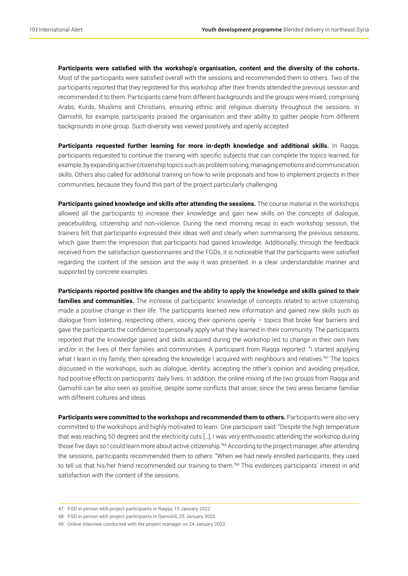**Participants were satisfied with the workshop's organisation, content and the diversity of the cohorts.**  Most of the participants were satisfied overall with the sessions and recommended them to others. Two of the participants reported that they registered for this workshop after their friends attended the previous session and recommended it to them. Participants came from different backgrounds and the groups were mixed, comprising Arabs, Kurds, Muslims and Christians, ensuring ethnic and religious diversity throughout the sessions. In Qamishli, for example, participants praised the organisation and their ability to gather people from different backgrounds in one group. Such diversity was viewed positively and openly accepted.

**Participants requested further learning for more in-depth knowledge and additional skills.** In Raqqa, participants requested to continue the training with specific subjects that can complete the topics learned, for example, by expanding active citizenship topics such as problem solving, managing emotions and communication skills. Others also called for additional training on how to write proposals and how to implement projects in their communities, because they found this part of the project particularly challenging.

**Participants gained knowledge and skills after attending the sessions.** The course material in the workshops allowed all the participants to increase their knowledge and gain new skills on the concepts of dialogue, peacebuilding, citizenship and non-violence. During the next morning recap in each workshop session, the trainers felt that participants expressed their ideas well and clearly when summarising the previous sessions, which gave them the impression that participants had gained knowledge. Additionally, through the feedback received from the satisfaction questionnaires and the FGDs, it is noticeable that the participants were satisfied regarding the content of the session and the way it was presented: in a clear understandable manner and supported by concrete examples.

**Participants reported positive life changes and the ability to apply the knowledge and skills gained to their families and communities.** The increase of participants' knowledge of concepts related to active citizenship made a positive change in their life. The participants learned new information and gained new skills such as dialogue from listening, respecting others, voicing their opinions openly  $-$  topics that broke fear barriers and gave the participants the confidence to personally apply what they learned in their community. The participants reported that the knowledge gained and skills acquired during the workshop led to change in their own lives and/or in the lives of their families and communities. A participant from Raqqa reported: "I started applying what I learn in my family, then spreading the knowledge I acquired with neighbours and relatives."<sup>47</sup> The topics discussed in the workshops, such as dialogue, identity, accepting the other's opinion and avoiding prejudice, had positive effects on participants' daily lives. In addition, the online mixing of the two groups from Raqqa and Qamishli can be also seen as positive, despite some conflicts that arose, since the two areas became familiar with different cultures and ideas.

Participants were committed to the workshops and recommended them to others. Participants were also very committed to the workshops and highly motivated to learn. One participant said: "Despite the high temperature that was reaching 50 degrees and the electricity cuts […], I was very enthusiastic attending the workshop during those five days so I could learn more about active citizenship."<sup>48</sup> According to the project manager, after attending the sessions, participants recommended them to others: "When we had newly enrolled participants, they used to tell us that his/her friend recommended our training to them."49 This evidences participants' interest in and satisfaction with the content of the sessions.

48 FGD in person wtih project participants in Qamishli, 25 January 2022

<sup>47</sup> FGD in person wtih project participants in Raqqa, 15 January 2022

<sup>49</sup> Online interview conducted with the project manager on 24 January 2022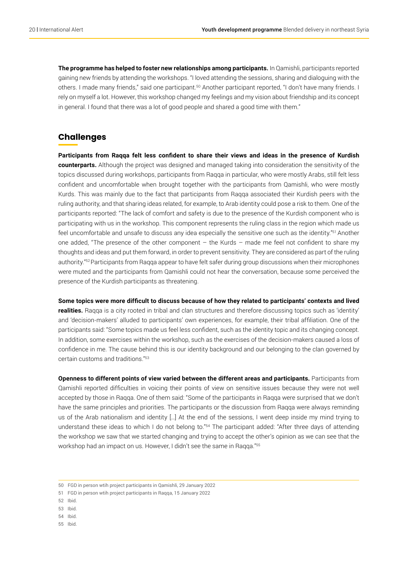**The programme has helped to foster new relationships among participants.** In Qamishli, participants reported gaining new friends by attending the workshops. "I loved attending the sessions, sharing and dialoguing with the others. I made many friends," said one participant.<sup>50</sup> Another participant reported, "I don't have many friends. I rely on myself a lot. However, this workshop changed my feelings and my vision about friendship and its concept in general. I found that there was a lot of good people and shared a good time with them."

#### **Challenges**

**Participants from Raqqa felt less confident to share their views and ideas in the presence of Kurdish counterparts.** Although the project was designed and managed taking into consideration the sensitivity of the topics discussed during workshops, participants from Raqqa in particular, who were mostly Arabs, still felt less confident and uncomfortable when brought together with the participants from Qamishli, who were mostly Kurds. This was mainly due to the fact that participants from Raqqa associated their Kurdish peers with the ruling authority, and that sharing ideas related, for example, to Arab identity could pose a risk to them. One of the participants reported: "The lack of comfort and safety is due to the presence of the Kurdish component who is participating with us in the workshop. This component represents the ruling class in the region which made us feel uncomfortable and unsafe to discuss any idea especially the sensitive one such as the identity."51 Another one added, "The presence of the other component – the Kurds – made me feel not confident to share my thoughts and ideas and put them forward, in order to prevent sensitivity. They are considered as part of the ruling authority."<sup>52</sup> Participants from Raqqa appear to have felt safer during group discussions when their microphones were muted and the participants from Qamishli could not hear the conversation, because some perceived the presence of the Kurdish participants as threatening.

**Some topics were more difficult to discuss because of how they related to participants' contexts and lived realities.** Raqqa is a city rooted in tribal and clan structures and therefore discussing topics such as 'identity' and 'decision-makers' alluded to participants' own experiences, for example, their tribal affiliation. One of the participants said: "Some topics made us feel less confident, such as the identity topic and its changing concept. In addition, some exercises within the workshop, such as the exercises of the decision-makers caused a loss of confidence in me. The cause behind this is our identity background and our belonging to the clan governed by certain customs and traditions."53

**Openness to different points of view varied between the different areas and participants.** Participants from Qamishli reported difficulties in voicing their points of view on sensitive issues because they were not well accepted by those in Raqqa. One of them said: "Some of the participants in Raqqa were surprised that we don't have the same principles and priorities. The participants or the discussion from Raqqa were always reminding us of the Arab nationalism and identity […] At the end of the sessions, I went deep inside my mind trying to understand these ideas to which I do not belong to."<sup>54</sup> The participant added: "After three days of attending the workshop we saw that we started changing and trying to accept the other's opinion as we can see that the workshop had an impact on us. However, I didn't see the same in Raqqa."55

- 53 Ibid.
- 54 Ibid.
- 55 Ibid.

<sup>50</sup> FGD in person wtih project participants in Qamishli, 29 January 2022

<sup>51</sup> FGD in person wtih project participants in Raqqa, 15 January 2022

<sup>52</sup> Ibid.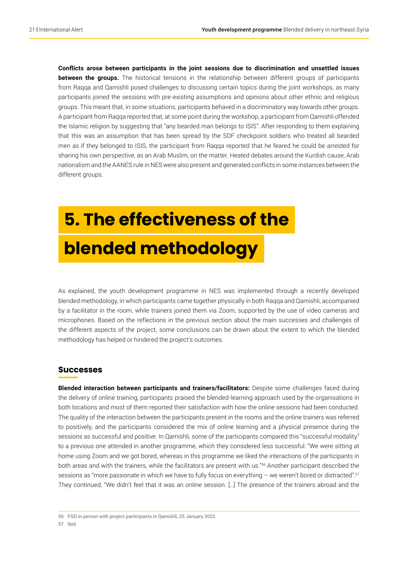**Conflicts arose between participants in the joint sessions due to discrimination and unsettled issues between the groups.** The historical tensions in the relationship between different groups of participants from Raqqa and Qamishli posed challenges to discussing certain topics during the joint workshops, as many participants joined the sessions with pre-existing assumptions and opinions about other ethnic and religious groups. This meant that, in some situations, participants behaved in a discriminatory way towards other groups. A participant from Raqqa reported that, at some point during the workshop, a participant from Qamishli offended the Islamic religion by suggesting that "any bearded man belongs to ISIS". After responding to them explaining that this was an assumption that has been spread by the SDF checkpoint soldiers who treated all bearded men as if they belonged to ISIS, the participant from Raqqa reported that he feared he could be arrested for sharing his own perspective, as an Arab Muslim, on the matter. Heated debates around the Kurdish cause, Arab nationalism and the AANES rule in NES were also present and generated conflicts in some instances between the different groups.

## **5. The effectiveness of the blended methodology**

As explained, the youth development programme in NES was implemented through a recently developed blended methodology, in which participants came together physically in both Raqqa and Qamishli, accompanied by a facilitator in the room, while trainers joined them via Zoom, supported by the use of video cameras and microphones. Based on the reflections in the previous section about the main successes and challenges of the different aspects of the project, some conclusions can be drawn about the extent to which the blended methodology has helped or hindered the project's outcomes.

#### **Successes**

**Blended interaction between participants and trainers/facilitators:** Despite some challenges faced during the delivery of online training, participants praised the blended-learning approach used by the organisations in both locations and most of them reported their satisfaction with how the online sessions had been conducted. The quality of the interaction between the participants present in the rooms and the online trainers was referred to positively, and the participants considered the mix of online learning and a physical presence during the sessions as successful and positive. In Qamishli, some of the participants compared this "successful modality" to a previous one attended in another programme, which they considered less successful: "We were sitting at home using Zoom and we got bored, whereas in this programme we liked the interactions of the participants in both areas and with the trainers, while the facilitators are present with us."56 Another participant described the sessions as "more passionate in which we have to fully focus on everything – we weren't bored or distracted".57 They continued, "We didn't feel that it was an online session. […] The presence of the trainers abroad and the

56 FGD in person with project participants in Qamishli, 25 January 2022

#### 57 Ibid.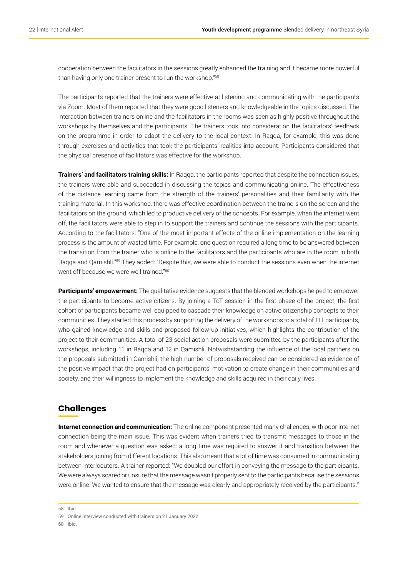cooperation between the facilitators in the sessions greatly enhanced the training and it became more powerful than having only one trainer present to run the workshop."58

The participants reported that the trainers were effective at listening and communicating with the participants via Zoom. Most of them reported that they were good listeners and knowledgeable in the topics discussed. The interaction between trainers online and the facilitators in the rooms was seen as highly positive throughout the workshops by themselves and the participants. The trainers took into consideration the facilitators' feedback on the programme in order to adapt the delivery to the local context. In Raqqa, for example, this was done through exercises and activities that took the participants' realities into account. Participants considered that the physical presence of facilitators was effective for the workshop.

**Trainers' and facilitators training skills:** In Raqqa, the participants reported that despite the connection issues, the trainers were able and succeeded in discussing the topics and communicating online. The effectiveness of the distance learning came from the strength of the trainers' personalities and their familiarity with the training material. In this workshop, there was effective coordination between the trainers on the screen and the facilitators on the ground, which led to productive delivery of the concepts. For example, when the internet went off, the facilitators were able to step in to support the trainers and continue the sessions with the participants. According to the facilitators: "One of the most important effects of the online implementation on the learning process is the amount of wasted time. For example, one question required a long time to be answered between the transition from the trainer who is online to the facilitators and the participants who are in the room in both Raqqa and Qamishli."<sup>59</sup> They added: "Despite this, we were able to conduct the sessions even when the internet went off because we were well trained."60

**Participants' empowerment:** The qualitative evidence suggests that the blended workshops helped to empower the participants to become active citizens. By joining a ToT session in the first phase of the project, the first cohort of participants became well equipped to cascade their knowledge on active citizenship concepts to their communities. They started this process by supporting the delivery of the workshops to a total of 111 participants, who gained knowledge and skills and proposed follow-up initiatives, which highlights the contribution of the project to their communities. A total of 23 social action proposals were submitted by the participants after the workshops, including 11 in Raqqa and 12 in Qamishli. Notwishstanding the influence of the local partners on the proposals submitted in Qamishli, the high number of proposals received can be considered as evidence of the positive impact that the project had on participants' motivation to create change in their communities and society, and their willingness to implement the knowledge and skills acquired in their daily lives.

#### **Challenges**

**Internet connection and communication:** The online component presented many challenges, with poor internet connection being the main issue. This was evident when trainers tried to transmit messages to those in the room and whenever a question was asked: a long time was required to answer it and transition between the stakeholders joining from different locations. This also meant that a lot of time was consumed in communicating between interlocutors. A trainer reported: "We doubled our effort in conveying the message to the participants. We were always scared or unsure that the message wasn't properly sent to the participants because the sessions were online. We wanted to ensure that the message was clearly and appropriately received by the participants."

<sup>58</sup> Ibid.

<sup>59</sup> Online interview conducted with trainers on 21 January 2022

<sup>60</sup> Ibid.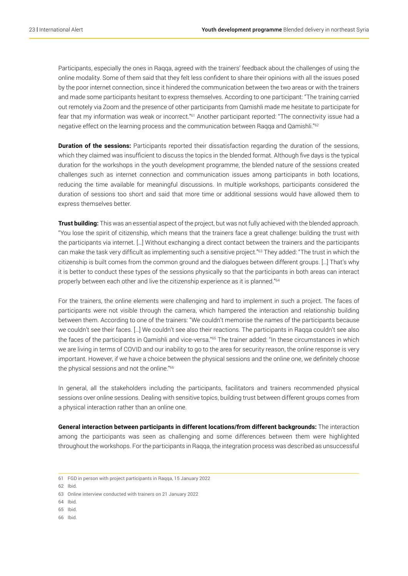Participants, especially the ones in Raqqa, agreed with the trainers' feedback about the challenges of using the online modality. Some of them said that they felt less confident to share their opinions with all the issues posed by the poor internet connection, since it hindered the communication between the two areas or with the trainers and made some participants hesitant to express themselves. According to one participant: "The training carried out remotely via Zoom and the presence of other participants from Qamishli made me hesitate to participate for fear that my information was weak or incorrect."<sup>61</sup> Another participant reported: "The connectivity issue had a negative effect on the learning process and the communication between Raqqa and Qamishli."62

**Duration of the sessions:** Participants reported their dissatisfaction regarding the duration of the sessions, which they claimed was insufficient to discuss the topics in the blended format. Although five days is the typical duration for the workshops in the youth development programme, the blended nature of the sessions created challenges such as internet connection and communication issues among participants in both locations, reducing the time available for meaningful discussions. In multiple workshops, participants considered the duration of sessions too short and said that more time or additional sessions would have allowed them to express themselves better.

**Trust building:** This was an essential aspect of the project, but was not fully achieved with the blended approach. "You lose the spirit of citizenship, which means that the trainers face a great challenge: building the trust with the participants via internet. […] Without exchanging a direct contact between the trainers and the participants can make the task very difficult as implementing such a sensitive project."63 They added: "The trust in which the citizenship is built comes from the common ground and the dialogues between different groups. […] That's why it is better to conduct these types of the sessions physically so that the participants in both areas can interact properly between each other and live the citizenship experience as it is planned."64

For the trainers, the online elements were challenging and hard to implement in such a project. The faces of participants were not visible through the camera, which hampered the interaction and relationship building between them. According to one of the trainers: "We couldn't memorise the names of the participants because we couldn't see their faces. […] We couldn't see also their reactions. The participants in Raqqa couldn't see also the faces of the participants in Qamishli and vice-versa."<sup>65</sup> The trainer added: "In these circumstances in which we are living in terms of COVID and our inability to go to the area for security reason, the online response is very important. However, if we have a choice between the physical sessions and the online one, we definitely choose the physical sessions and not the online."66

In general, all the stakeholders including the participants, facilitators and trainers recommended physical sessions over online sessions. Dealing with sensitive topics, building trust between different groups comes from a physical interaction rather than an online one.

**General interaction between participants in different locations/from different backgrounds:** The interaction among the participants was seen as challenging and some differences between them were highlighted throughout the workshops. For the participants in Raqqa, the integration process was described as unsuccessful

62 Ibid.

- 64 Ibid.
- 65 Ibid.
- 66 Ibid.

<sup>61</sup> FGD in person with project participants in Raqqa, 15 January 2022

<sup>63</sup> Online interview conducted with trainers on 21 January 2022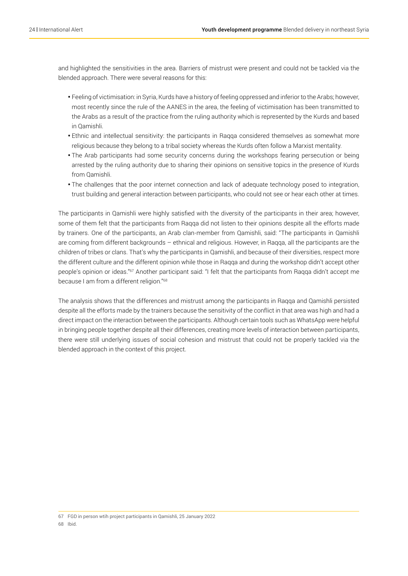and highlighted the sensitivities in the area. Barriers of mistrust were present and could not be tackled via the blended approach. There were several reasons for this:

- Feeling of victimisation: in Syria, Kurds have a history of feeling oppressed and inferior to the Arabs; however, most recently since the rule of the AANES in the area, the feeling of victimisation has been transmitted to the Arabs as a result of the practice from the ruling authority which is represented by the Kurds and based in Qamishli.
- Ethnic and intellectual sensitivity: the participants in Raqqa considered themselves as somewhat more religious because they belong to a tribal society whereas the Kurds often follow a Marxist mentality.
- The Arab participants had some security concerns during the workshops fearing persecution or being arrested by the ruling authority due to sharing their opinions on sensitive topics in the presence of Kurds from Qamishli.
- The challenges that the poor internet connection and lack of adequate technology posed to integration, trust building and general interaction between participants, who could not see or hear each other at times.

The participants in Qamishli were highly satisfied with the diversity of the participants in their area; however, some of them felt that the participants from Raqqa did not listen to their opinions despite all the efforts made by trainers. One of the participants, an Arab clan-member from Qamishli, said: "The participants in Qamishli are coming from different backgrounds – ethnical and religious. However, in Raqqa, all the participants are the children of tribes or clans. That's why the participants in Qamishli, and because of their diversities, respect more the different culture and the different opinion while those in Raqqa and during the workshop didn't accept other people's opinion or ideas."67 Another participant said: "I felt that the participants from Raqqa didn't accept me because I am from a different religion."68

The analysis shows that the differences and mistrust among the participants in Raqqa and Qamishli persisted despite all the efforts made by the trainers because the sensitivity of the conflict in that area was high and had a direct impact on the interaction between the participants. Although certain tools such as WhatsApp were helpful in bringing people together despite all their differences, creating more levels of interaction between participants, there were still underlying issues of social cohesion and mistrust that could not be properly tackled via the blended approach in the context of this project.

68 Ibid.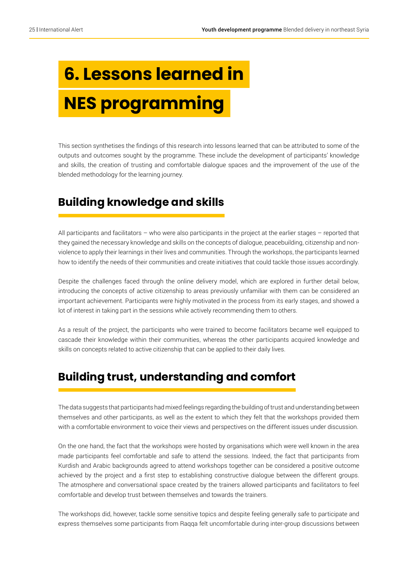# **6. Lessons learned in NES programming**

This section synthetises the findings of this research into lessons learned that can be attributed to some of the outputs and outcomes sought by the programme. These include the development of participants' knowledge and skills, the creation of trusting and comfortable dialogue spaces and the improvement of the use of the blended methodology for the learning journey.

## **Building knowledge and skills**

All participants and facilitators – who were also participants in the project at the earlier stages – reported that they gained the necessary knowledge and skills on the concepts of dialogue, peacebuilding, citizenship and nonviolence to apply their learnings in their lives and communities. Through the workshops, the participants learned how to identify the needs of their communities and create initiatives that could tackle those issues accordingly.

Despite the challenges faced through the online delivery model, which are explored in further detail below, introducing the concepts of active citizenship to areas previously unfamiliar with them can be considered an important achievement. Participants were highly motivated in the process from its early stages, and showed a lot of interest in taking part in the sessions while actively recommending them to others.

As a result of the project, the participants who were trained to become facilitators became well equipped to cascade their knowledge within their communities, whereas the other participants acquired knowledge and skills on concepts related to active citizenship that can be applied to their daily lives.

## **Building trust, understanding and comfort**

The data suggests that participants had mixed feelings regarding the building of trust and understanding between themselves and other participants, as well as the extent to which they felt that the workshops provided them with a comfortable environment to voice their views and perspectives on the different issues under discussion.

On the one hand, the fact that the workshops were hosted by organisations which were well known in the area made participants feel comfortable and safe to attend the sessions. Indeed, the fact that participants from Kurdish and Arabic backgrounds agreed to attend workshops together can be considered a positive outcome achieved by the project and a first step to establishing constructive dialogue between the different groups. The atmosphere and conversational space created by the trainers allowed participants and facilitators to feel comfortable and develop trust between themselves and towards the trainers.

The workshops did, however, tackle some sensitive topics and despite feeling generally safe to participate and express themselves some participants from Raqqa felt uncomfortable during inter-group discussions between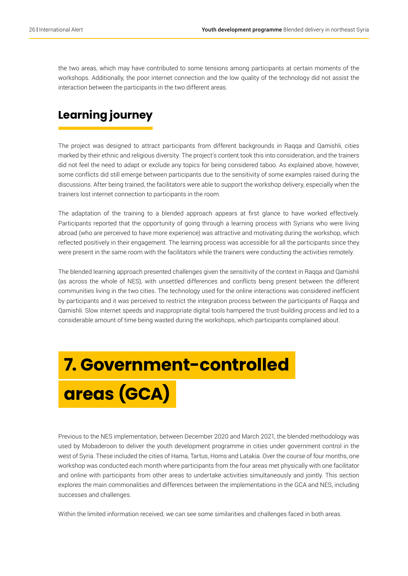the two areas, which may have contributed to some tensions among participants at certain moments of the workshops. Additionally, the poor internet connection and the low quality of the technology did not assist the interaction between the participants in the two different areas.

## **Learning journey**

The project was designed to attract participants from different backgrounds in Raqqa and Qamishli, cities marked by their ethnic and religious diversity. The project's content took this into consideration, and the trainers did not feel the need to adapt or exclude any topics for being considered taboo. As explained above, however, some conflicts did still emerge between participants due to the sensitivity of some examples raised during the discussions. After being trained, the facilitators were able to support the workshop delivery, especially when the trainers lost internet connection to participants in the room.

The adaptation of the training to a blended approach appears at first glance to have worked effectively. Participants reported that the opportunity of going through a learning process with Syrians who were living abroad (who are perceived to have more experience) was attractive and motivating during the workshop, which reflected positively in their engagement. The learning process was accessible for all the participants since they were present in the same room with the facilitators while the trainers were conducting the activities remotely.

The blended learning approach presented challenges given the sensitivity of the context in Raqqa and Qamishli (as across the whole of NES), with unsettled differences and conflicts being present between the different communities living in the two cities. The technology used for the online interactions was considered inefficient by participants and it was perceived to restrict the integration process between the participants of Raqqa and Qamishli. Slow internet speeds and inappropriate digital tools hampered the trust-building process and led to a considerable amount of time being wasted during the workshops, which participants complained about.

## **7. Government-controlled areas (GCA)**

Previous to the NES implementation, between December 2020 and March 2021, the blended methodology was used by Mobaderoon to deliver the youth development programme in cities under government control in the west of Syria. These included the cities of Hama, Tartus, Homs and Latakia. Over the course of four months, one workshop was conducted each month where participants from the four areas met physically with one facilitator and online with participants from other areas to undertake activities simultaneously and jointly. This section explores the main commonalities and differences between the implementations in the GCA and NES, including successes and challenges.

Within the limited information received, we can see some similarities and challenges faced in both areas.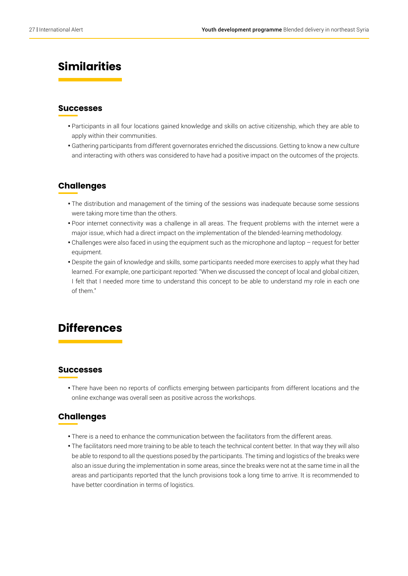## **Similarities**

#### **Successes**

- Participants in all four locations gained knowledge and skills on active citizenship, which they are able to apply within their communities.
- Gathering participants from different governorates enriched the discussions. Getting to know a new culture and interacting with others was considered to have had a positive impact on the outcomes of the projects.

#### **Challenges**

- The distribution and management of the timing of the sessions was inadequate because some sessions were taking more time than the others.
- Poor internet connectivity was a challenge in all areas. The frequent problems with the internet were a major issue, which had a direct impact on the implementation of the blended-learning methodology.
- Challenges were also faced in using the equipment such as the microphone and laptop request for better equipment.
- Despite the gain of knowledge and skills, some participants needed more exercises to apply what they had learned. For example, one participant reported: "When we discussed the concept of local and global citizen, I felt that I needed more time to understand this concept to be able to understand my role in each one of them."

### **Differences**

#### **Successes**

• There have been no reports of conflicts emerging between participants from different locations and the online exchange was overall seen as positive across the workshops.

#### **Challenges**

- There is a need to enhance the communication between the facilitators from the different areas.
- The facilitators need more training to be able to teach the technical content better. In that way they will also be able to respond to all the questions posed by the participants. The timing and logistics of the breaks were also an issue during the implementation in some areas, since the breaks were not at the same time in all the areas and participants reported that the lunch provisions took a long time to arrive. It is recommended to have better coordination in terms of logistics.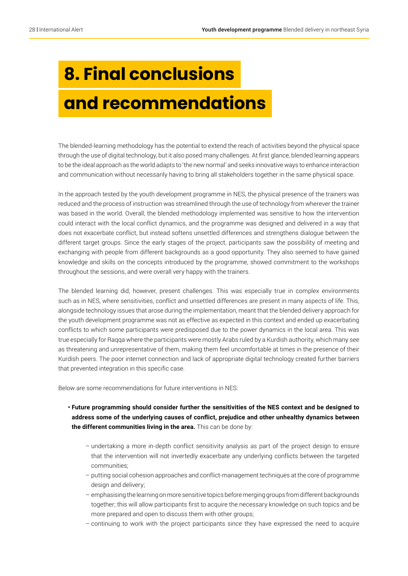## **8. Final conclusions and recommendations**

The blended-learning methodology has the potential to extend the reach of activities beyond the physical space through the use of digital technology, but it also posed many challenges. At first glance, blended learning appears to be the ideal approach as the world adapts to 'the new normal' and seeks innovative ways to enhance interaction and communication without necessarily having to bring all stakeholders together in the same physical space.

In the approach tested by the youth development programme in NES, the physical presence of the trainers was reduced and the process of instruction was streamlined through the use of technology from wherever the trainer was based in the world. Overall, the blended methodology implemented was sensitive to how the intervention could interact with the local conflict dynamics, and the programme was designed and delivered in a way that does not exacerbate conflict, but instead softens unsettled differences and strengthens dialogue between the different target groups. Since the early stages of the project, participants saw the possibility of meeting and exchanging with people from different backgrounds as a good opportunity. They also seemed to have gained knowledge and skills on the concepts introduced by the programme, showed commitment to the workshops throughout the sessions, and were overall very happy with the trainers.

The blended learning did, however, present challenges. This was especially true in complex environments such as in NES, where sensitivities, conflict and unsettled differences are present in many aspects of life. This, alongside technology issues that arose during the implementation, meant that the blended delivery approach for the youth development programme was not as effective as expected in this context and ended up exacerbating conflicts to which some participants were predisposed due to the power dynamics in the local area. This was true especially for Raqqa where the participants were mostly Arabs ruled by a Kurdish authority, which many see as threatening and unrepresentative of them, making them feel uncomfortable at times in the presence of their Kurdish peers. The poor internet connection and lack of appropriate digital technology created further barriers that prevented integration in this specific case.

Below are some recommendations for future interventions in NES:

- **Future programming should consider further the sensitivities of the NES context and be designed to address some of the underlying causes of conflict, prejudice and other unhealthy dynamics between the different communities living in the area.** This can be done by:
	- undertaking a more in-depth conflict sensitivity analysis as part of the project design to ensure that the intervention will not invertedly exacerbate any underlying conflicts between the targeted communities;
	- putting social cohesion approaches and conflict-management techniques at the core of programme design and delivery;
	- emphasising the learning on more sensitive topics before merging groups from different backgrounds together; this will allow participants first to acquire the necessary knowledge on such topics and be more prepared and open to discuss them with other groups;
	- continuing to work with the project participants since they have expressed the need to acquire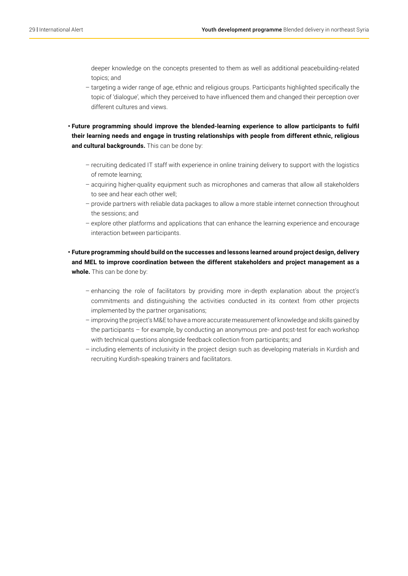deeper knowledge on the concepts presented to them as well as additional peacebuilding-related topics; and

- targeting a wider range of age, ethnic and religious groups. Participants highlighted specifically the topic of 'dialogue', which they perceived to have influenced them and changed their perception over different cultures and views.
- **Future programming should improve the blended-learning experience to allow participants to fulfil their learning needs and engage in trusting relationships with people from different ethnic, religious**  and cultural backgrounds. This can be done by:
	- recruiting dedicated IT staff with experience in online training delivery to support with the logistics of remote learning;
	- acquiring higher-quality equipment such as microphones and cameras that allow all stakeholders to see and hear each other well;
	- provide partners with reliable data packages to allow a more stable internet connection throughout the sessions; and
	- explore other platforms and applications that can enhance the learning experience and encourage interaction between participants.
- **Future programming should build on the successes and lessons learned around project design, delivery and MEL to improve coordination between the different stakeholders and project management as a whole.** This can be done by:
	- enhancing the role of facilitators by providing more in-depth explanation about the project's commitments and distinguishing the activities conducted in its context from other projects implemented by the partner organisations;
	- improving the project's M&E to have a more accurate measurement of knowledge and skills gained by the participants – for example, by conducting an anonymous pre- and post-test for each workshop with technical questions alongside feedback collection from participants; and
	- including elements of inclusivity in the project design such as developing materials in Kurdish and recruiting Kurdish-speaking trainers and facilitators.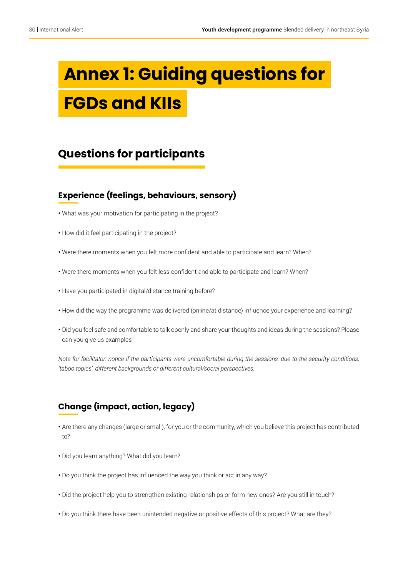## **Annex 1: Guiding questions for FGDs and KIIs**

## **Questions for participants**

#### **Experience (feelings, behaviours, sensory)**

- What was your motivation for participating in the project?
- How did it feel participating in the project?
- Were there moments when you felt more confident and able to participate and learn? When?
- Were there moments when you felt less confident and able to participate and learn? When?
- Have you participated in digital/distance training before?
- How did the way the programme was delivered (online/at distance) influence your experience and learning?
- Did you feel safe and comfortable to talk openly and share your thoughts and ideas during the sessions? Please can you give us examples

*Note for facilitator: notice if the participants were uncomfortable during the sessions: due to the security conditions, 'taboo topics', different backgrounds or different cultural/social perspectives.*

#### **Change (impact, action, legacy)**

- Are there any changes (large or small), for you or the community, which you believe this project has contributed  $to$ ?
- Did you learn anything? What did you learn?
- Do you think the project has influenced the way you think or act in any way?
- Did the project help you to strengthen existing relationships or form new ones? Are you still in touch?
- Do you think there have been unintended negative or positive effects of this project? What are they?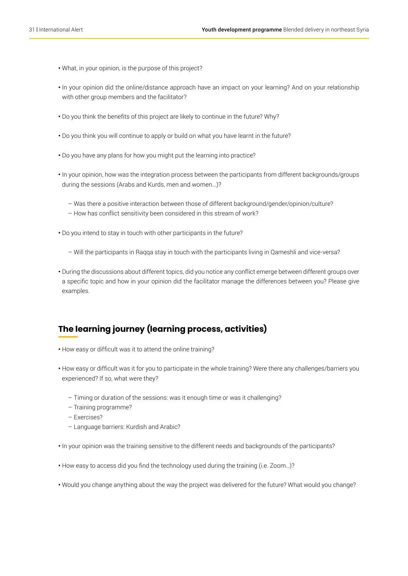- What, in your opinion, is the purpose of this project?
- In your opinion did the online/distance approach have an impact on your learning? And on your relationship with other group members and the facilitator?
- Do you think the benefits of this project are likely to continue in the future? Why?
- Do you think you will continue to apply or build on what you have learnt in the future?
- Do you have any plans for how you might put the learning into practice?
- In your opinion, how was the integration process between the participants from different backgrounds/groups during the sessions (Arabs and Kurds, men and women...)?
	- Was there a positive interaction between those of different background/gender/opinion/culture?
	- How has conflict sensitivity been considered in this stream of work?
- Do you intend to stay in touch with other participants in the future?
	- Will the participants in Raqqa stay in touch with the participants living in Qameshli and vice-versa?
- During the discussions about different topics, did you notice any conflict emerge between different groups over a specific topic and how in your opinion did the facilitator manage the differences between you? Please give examples.

#### **The learning journey (learning process, activities)**

- How easy or difficult was it to attend the online training?
- How easy or difficult was it for you to participate in the whole training? Were there any challenges/barriers you experienced? If so, what were they?
	- Timing or duration of the sessions: was it enough time or was it challenging?
	- Training programme?
	- Exercises?
	- Language barriers: Kurdish and Arabic?
- In your opinion was the training sensitive to the different needs and backgrounds of the participants?
- How easy to access did you find the technology used during the training (i.e. Zoom…)?
- Would you change anything about the way the project was delivered for the future? What would you change?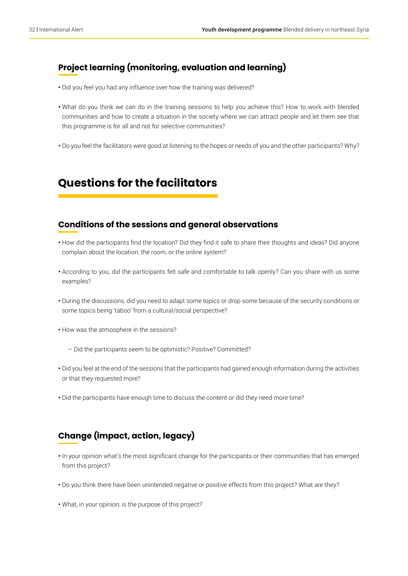#### **Project learning (monitoring, evaluation and learning)**

- Did you feel you had any influence over how the training was delivered?
- What do you think we can do in the training sessions to help you achieve this? How to work with blended communities and how to create a situation in the society where we can attract people and let them see that this programme is for all and not for selective communities?
- Do you feel the facilitators were good at listening to the hopes or needs of you and the other participants? Why?

## **Questions for the facilitators**

#### **Conditions of the sessions and general observations**

- How did the participants find the location? Did they find it safe to share their thoughts and ideas? Did anyone complain about the location, the room, or the online system?
- According to you, did the participants felt safe and comfortable to talk openly? Can you share with us some examples?
- During the discussions, did you need to adapt some topics or drop some because of the security conditions or some topics being 'taboo' from a cultural/social perspective?
- How was the atmosphere in the sessions?
	- Did the participants seem to be optimistic? Positive? Committed?
- Did you feel at the end of the sessions that the participants had gained enough information during the activities or that they requested more?
- Did the participants have enough time to discuss the content or did they need more time?

#### **Change (impact, action, legacy)**

- In your opinion what's the most significant change for the participants or their communities that has emerged from this project?
- Do you think there have been unintended negative or positive effects from this project? What are they?
- What, in your opinion, is the purpose of this project?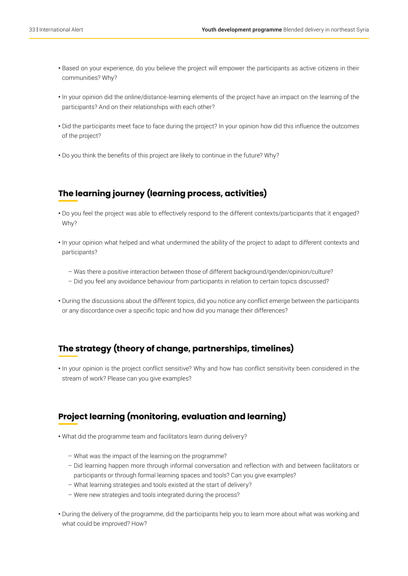- Based on your experience, do you believe the project will empower the participants as active citizens in their communities? Why?
- In your opinion did the online/distance-learning elements of the project have an impact on the learning of the participants? And on their relationships with each other?
- Did the participants meet face to face during the project? In your opinion how did this influence the outcomes of the project?
- Do you think the benefits of this project are likely to continue in the future? Why?

### **The learning journey (learning process, activities)**

- Do you feel the project was able to effectively respond to the different contexts/participants that it engaged? Why?
- In your opinion what helped and what undermined the ability of the project to adapt to different contexts and participants?
	- Was there a positive interaction between those of different background/gender/opinion/culture?
	- Did you feel any avoidance behaviour from participants in relation to certain topics discussed?
- During the discussions about the different topics, did you notice any conflict emerge between the participants or any discordance over a specific topic and how did you manage their differences?

#### **The strategy (theory of change, partnerships, timelines)**

**•** In your opinion is the project conflict sensitive? Why and how has conflict sensitivity been considered in the stream of work? Please can you give examples?

#### **Project learning (monitoring, evaluation and learning)**

- What did the programme team and facilitators learn during delivery?
	- What was the impact of the learning on the programme?
	- Did learning happen more through informal conversation and reflection with and between facilitators or participants or through formal learning spaces and tools? Can you give examples?
	- What learning strategies and tools existed at the start of delivery?
	- Were new strategies and tools integrated during the process?
- During the delivery of the programme, did the participants help you to learn more about what was working and what could be improved? How?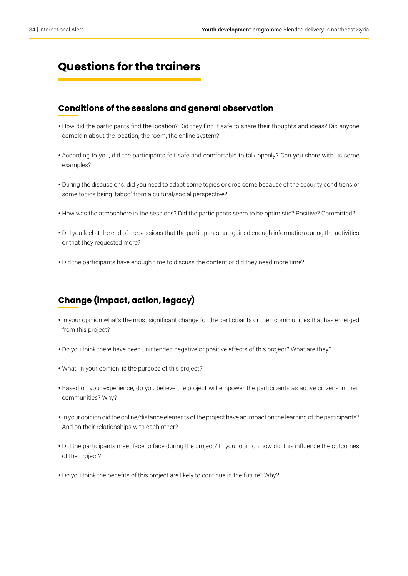## **Questions for the trainers**

#### **Conditions of the sessions and general observation**

- How did the participants find the location? Did they find it safe to share their thoughts and ideas? Did anyone complain about the location, the room, the online system?
- According to you, did the participants felt safe and comfortable to talk openly? Can you share with us some examples?
- During the discussions, did you need to adapt some topics or drop some because of the security conditions or some topics being 'taboo' from a cultural/social perspective?
- How was the atmosphere in the sessions? Did the participants seem to be optimistic? Positive? Committed?
- Did you feel at the end of the sessions that the participants had gained enough information during the activities or that they requested more?
- Did the participants have enough time to discuss the content or did they need more time?

#### **Change (impact, action, legacy)**

- In your opinion what's the most significant change for the participants or their communities that has emerged from this project?
- Do you think there have been unintended negative or positive effects of this project? What are they?
- What, in your opinion, is the purpose of this project?
- Based on your experience, do you believe the project will empower the participants as active citizens in their communities? Why?
- In your opinion did the online/distance elements of the project have an impact on the learning of the participants? And on their relationships with each other?
- Did the participants meet face to face during the project? In your opinion how did this influence the outcomes of the project?
- Do you think the benefits of this project are likely to continue in the future? Why?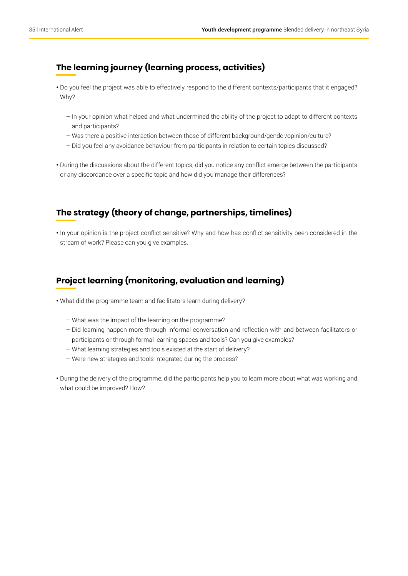#### **The learning journey (learning process, activities)**

- Do you feel the project was able to effectively respond to the different contexts/participants that it engaged? Why?
	- In your opinion what helped and what undermined the ability of the project to adapt to different contexts and participants?
	- Was there a positive interaction between those of different background/gender/opinion/culture?
	- Did you feel any avoidance behaviour from participants in relation to certain topics discussed?
- During the discussions about the different topics, did you notice any conflict emerge between the participants or any discordance over a specific topic and how did you manage their differences?

#### **The strategy (theory of change, partnerships, timelines)**

**•** In your opinion is the project conflict sensitive? Why and how has conflict sensitivity been considered in the stream of work? Please can you give examples.

#### **Project learning (monitoring, evaluation and learning)**

- What did the programme team and facilitators learn during delivery?
	- What was the impact of the learning on the programme?
	- Did learning happen more through informal conversation and reflection with and between facilitators or participants or through formal learning spaces and tools? Can you give examples?
	- What learning strategies and tools existed at the start of delivery?
	- Were new strategies and tools integrated during the process?
- During the delivery of the programme, did the participants help you to learn more about what was working and what could be improved? How?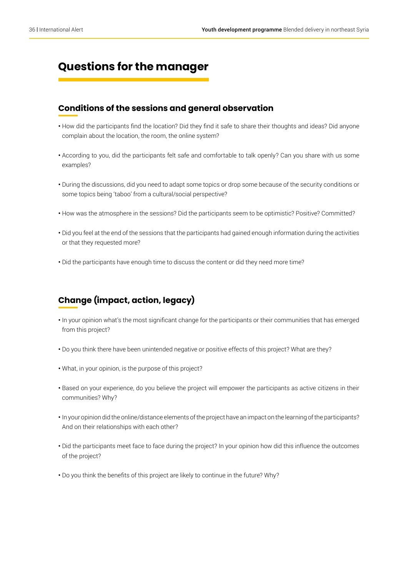## **Questions for the manager**

#### **Conditions of the sessions and general observation**

- How did the participants find the location? Did they find it safe to share their thoughts and ideas? Did anyone complain about the location, the room, the online system?
- According to you, did the participants felt safe and comfortable to talk openly? Can you share with us some examples?
- During the discussions, did you need to adapt some topics or drop some because of the security conditions or some topics being 'taboo' from a cultural/social perspective?
- How was the atmosphere in the sessions? Did the participants seem to be optimistic? Positive? Committed?
- Did you feel at the end of the sessions that the participants had gained enough information during the activities or that they requested more?
- Did the participants have enough time to discuss the content or did they need more time?

#### **Change (impact, action, legacy)**

- In your opinion what's the most significant change for the participants or their communities that has emerged from this project?
- Do you think there have been unintended negative or positive effects of this project? What are they?
- What, in your opinion, is the purpose of this project?
- Based on your experience, do you believe the project will empower the participants as active citizens in their communities? Why?
- In your opinion did the online/distance elements of the project have an impact on the learning of the participants? And on their relationships with each other?
- Did the participants meet face to face during the project? In your opinion how did this influence the outcomes of the project?
- Do you think the benefits of this project are likely to continue in the future? Why?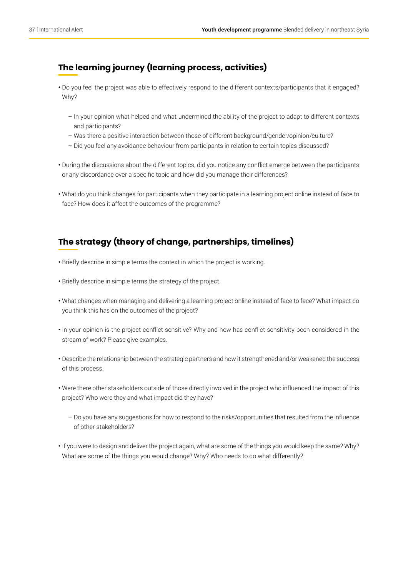#### **The learning journey (learning process, activities)**

- Do you feel the project was able to effectively respond to the different contexts/participants that it engaged? Why?
	- In your opinion what helped and what undermined the ability of the project to adapt to different contexts and participants?
	- Was there a positive interaction between those of different background/gender/opinion/culture?
	- Did you feel any avoidance behaviour from participants in relation to certain topics discussed?
- During the discussions about the different topics, did you notice any conflict emerge between the participants or any discordance over a specific topic and how did you manage their differences?
- What do you think changes for participants when they participate in a learning project online instead of face to face? How does it affect the outcomes of the programme?

#### **The strategy (theory of change, partnerships, timelines)**

- Briefly describe in simple terms the context in which the project is working.
- Briefly describe in simple terms the strategy of the project.
- What changes when managing and delivering a learning project online instead of face to face? What impact do you think this has on the outcomes of the project?
- In your opinion is the project conflict sensitive? Why and how has conflict sensitivity been considered in the stream of work? Please give examples.
- Describe the relationship between the strategic partners and how it strengthened and/or weakened the success of this process.
- Were there other stakeholders outside of those directly involved in the project who influenced the impact of this project? Who were they and what impact did they have?
	- Do you have any suggestions for how to respond to the risks/opportunities that resulted from the influence of other stakeholders?
- If you were to design and deliver the project again, what are some of the things you would keep the same? Why? What are some of the things you would change? Why? Who needs to do what differently?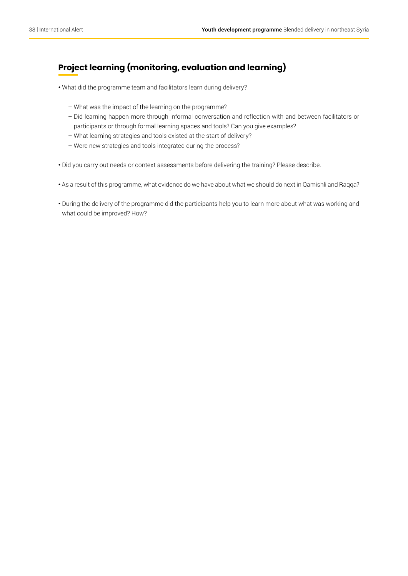#### **Project learning (monitoring, evaluation and learning)**

- What did the programme team and facilitators learn during delivery?
	- What was the impact of the learning on the programme?
	- Did learning happen more through informal conversation and reflection with and between facilitators or participants or through formal learning spaces and tools? Can you give examples?
	- What learning strategies and tools existed at the start of delivery?
	- Were new strategies and tools integrated during the process?
- Did you carry out needs or context assessments before delivering the training? Please describe.
- As a result of this programme, what evidence do we have about what we should do next in Qamishli and Raqqa?
- During the delivery of the programme did the participants help you to learn more about what was working and what could be improved? How?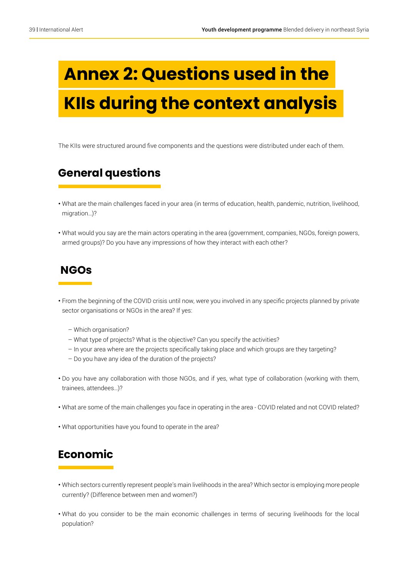## **Annex 2: Questions used in the KIIs during the context analysis**

The KIIs were structured around five components and the questions were distributed under each of them.

## **General questions**

- What are the main challenges faced in your area (in terms of education, health, pandemic, nutrition, livelihood, migration…)?
- What would you say are the main actors operating in the area (government, companies, NGOs, foreign powers, armed groups)? Do you have any impressions of how they interact with each other?

### **NGOs**

- From the beginning of the COVID crisis until now, were you involved in any specific projects planned by private sector organisations or NGOs in the area? If yes:
	- Which organisation?
	- What type of projects? What is the objective? Can you specify the activities?
	- In your area where are the projects specifically taking place and which groups are they targeting?
	- Do you have any idea of the duration of the projects?
- Do you have any collaboration with those NGOs, and if yes, what type of collaboration (working with them, trainees, attendees…)?
- What are some of the main challenges you face in operating in the area COVID related and not COVID related?
- What opportunities have you found to operate in the area?

## **Economic**

- Which sectors currently represent people's main livelihoods in the area? Which sector is employing more people currently? (Difference between men and women?)
- What do you consider to be the main economic challenges in terms of securing livelihoods for the local population?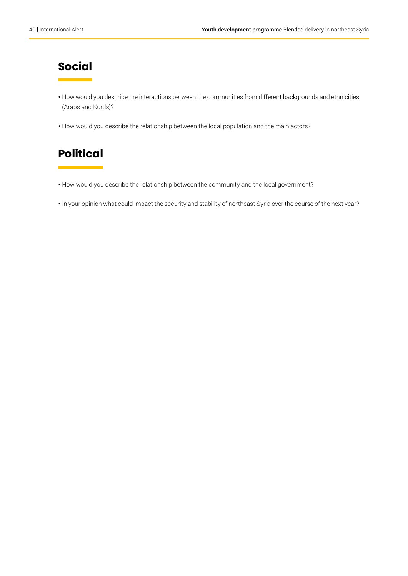## **Social**

- How would you describe the interactions between the communities from different backgrounds and ethnicities (Arabs and Kurds)?
- How would you describe the relationship between the local population and the main actors?

## **Political**

- How would you describe the relationship between the community and the local government?
- In your opinion what could impact the security and stability of northeast Syria over the course of the next year?